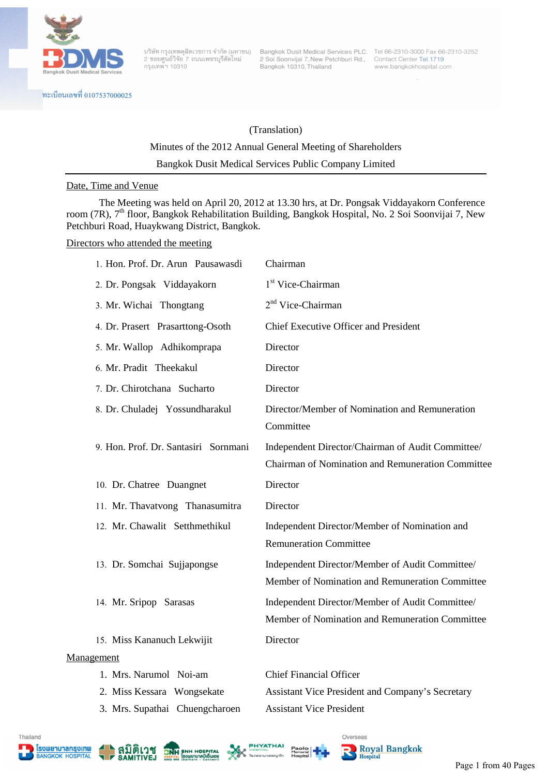

ทะเบียนเลขที่ 0107537000025

2 ซอยศูนย์วิจัย 7 ถนนเพชรบุรีตัดใหม่ กรุงเทพ<sup>ั</sup>ฯ 10310

2 Soi Soonvijai 7, New Petchburi Rd., Contact Center Tel.1719 Bangkok 10310, Thailand

บริษัท กรุงเทพดุสิตเวชการ จำกัด (มหาชน) Bangkok Dusit Medical Services PLC. Tel 66-2310-3000 Fax 66-2310-3252 www.bangkokhospital.com

# (Translation)

# Minutes of the 2012 Annual General Meeting of Shareholders

Bangkok Dusit Medical Services Public Company Limited

### Date, Time and Venue

 The Meeting was held on April 20, 2012 at 13.30 hrs, at Dr. Pongsak Viddayakorn Conference room (7R), 7<sup>th</sup> floor, Bangkok Rehabilitation Building, Bangkok Hospital, No. 2 Soi Soonvijai 7, New Petchburi Road, Huaykwang District, Bangkok.

#### Directors who attended the meeting

| 1. Hon. Prof. Dr. Arun Pausawasdi    | Chairman                                                                                               |
|--------------------------------------|--------------------------------------------------------------------------------------------------------|
| 2. Dr. Pongsak Viddayakorn           | 1 <sup>st</sup> Vice-Chairman                                                                          |
| 3. Mr. Wichai Thongtang              | $2nd$ Vice-Chairman                                                                                    |
| 4. Dr. Prasert Prasarttong-Osoth     | <b>Chief Executive Officer and President</b>                                                           |
| 5. Mr. Wallop Adhikomprapa           | Director                                                                                               |
| 6. Mr. Pradit Theekakul              | Director                                                                                               |
| 7. Dr. Chirotchana Sucharto          | Director                                                                                               |
| 8. Dr. Chuladej Yossundharakul       | Director/Member of Nomination and Remuneration<br>Committee                                            |
| 9. Hon. Prof. Dr. Santasiri Sornmani | Independent Director/Chairman of Audit Committee/<br>Chairman of Nomination and Remuneration Committee |
| 10. Dr. Chatree Duangnet             | Director                                                                                               |
| 11. Mr. Thavatvong Thanasumitra      | Director                                                                                               |
| 12. Mr. Chawalit Setthmethikul       | Independent Director/Member of Nomination and<br><b>Remuneration Committee</b>                         |
| 13. Dr. Somchai Sujjapongse          | Independent Director/Member of Audit Committee/<br>Member of Nomination and Remuneration Committee     |
| 14. Mr. Sripop Sarasas               | Independent Director/Member of Audit Committee/<br>Member of Nomination and Remuneration Committee     |
| 15. Miss Kananuch Lekwijit           | Director                                                                                               |
| Management                           |                                                                                                        |
| 1. Mrs. Narumol Noi-am               | <b>Chief Financial Officer</b>                                                                         |
| 2. Miss Kessara Wongsekate           | Assistant Vice President and Company's Secretary                                                       |
| 3. Mrs. Supathai Chuengcharoen       | <b>Assistant Vice President</b>                                                                        |













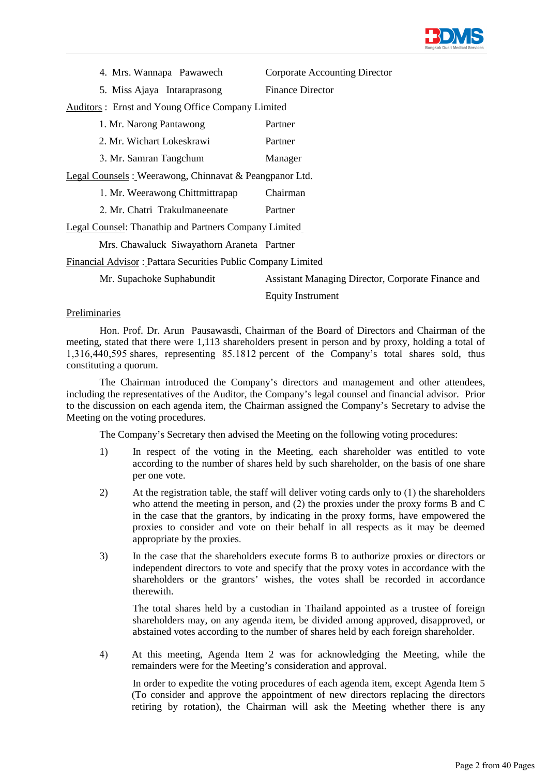

|  | 4. Mrs. Wannapa Pawawech | <b>Corporate Accounting Director</b> |
|--|--------------------------|--------------------------------------|
|  |                          |                                      |

5. Miss Ajaya Intaraprasong Finance Director

Auditors : Ernst and Young Office Company Limited

| 1. Mr. Narong Pantawong                                | Partner  |
|--------------------------------------------------------|----------|
| 2. Mr. Wichart Lokeskrawi                              | Partner  |
| 3. Mr. Samran Tangchum                                 | Manager  |
| Legal Counsels: Weerawong, Chinnavat & Peangpanor Ltd. |          |
| 1. Mr. Weerawong Chittmittrapap                        | Chairman |
| 2. Mr. Chatri Trakulmaneenate                          | Partner  |

Legal Counsel: Thanathip and Partners Company Limited

Mrs. Chawaluck Siwayathorn Araneta Partner

Financial Advisor : Pattara Securities Public Company Limited

Mr. Supachoke Suphabundit Assistant Managing Director, Corporate Finance and

Equity Instrument

### Preliminaries

 Hon. Prof. Dr. Arun Pausawasdi, Chairman of the Board of Directors and Chairman of the meeting, stated that there were 1,113 shareholders present in person and by proxy, holding a total of 1,316,440,595 shares, representing 85.1812 percent of the Company's total shares sold, thus constituting a quorum.

The Chairman introduced the Company's directors and management and other attendees, including the representatives of the Auditor, the Company's legal counsel and financial advisor. Prior to the discussion on each agenda item, the Chairman assigned the Company's Secretary to advise the Meeting on the voting procedures.

The Company's Secretary then advised the Meeting on the following voting procedures:

- 1) In respect of the voting in the Meeting, each shareholder was entitled to vote according to the number of shares held by such shareholder, on the basis of one share per one vote.
- 2) At the registration table, the staff will deliver voting cards only to (1) the shareholders who attend the meeting in person, and (2) the proxies under the proxy forms B and C in the case that the grantors, by indicating in the proxy forms, have empowered the proxies to consider and vote on their behalf in all respects as it may be deemed appropriate by the proxies.
- 3) In the case that the shareholders execute forms B to authorize proxies or directors or independent directors to vote and specify that the proxy votes in accordance with the shareholders or the grantors' wishes, the votes shall be recorded in accordance therewith.

The total shares held by a custodian in Thailand appointed as a trustee of foreign shareholders may, on any agenda item, be divided among approved, disapproved, or abstained votes according to the number of shares held by each foreign shareholder.

4) At this meeting, Agenda Item 2 was for acknowledging the Meeting, while the remainders were for the Meeting's consideration and approval.

In order to expedite the voting procedures of each agenda item, except Agenda Item 5 (To consider and approve the appointment of new directors replacing the directors retiring by rotation), the Chairman will ask the Meeting whether there is any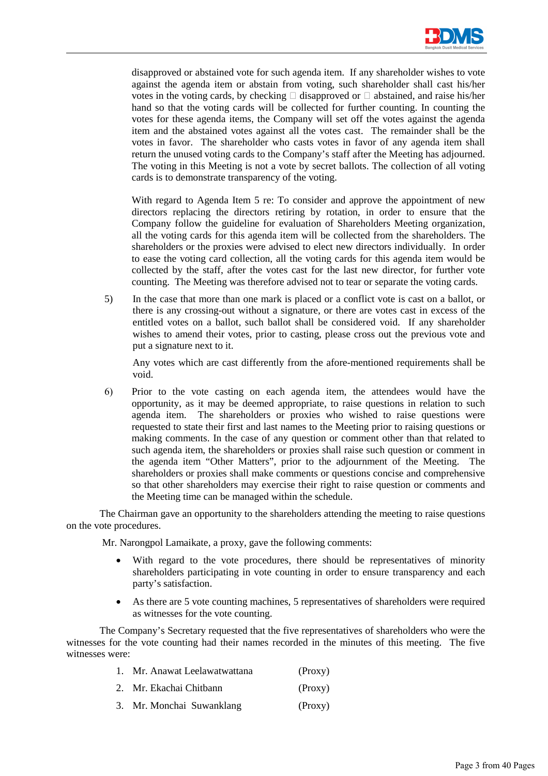

disapproved or abstained vote for such agenda item. If any shareholder wishes to vote against the agenda item or abstain from voting, such shareholder shall cast his/her votes in the voting cards, by checking  $\Box$  disapproved or  $\Box$  abstained, and raise his/her hand so that the voting cards will be collected for further counting. In counting the votes for these agenda items, the Company will set off the votes against the agenda item and the abstained votes against all the votes cast. The remainder shall be the votes in favor. The shareholder who casts votes in favor of any agenda item shall return the unused voting cards to the Company's staff after the Meeting has adjourned. The voting in this Meeting is not a vote by secret ballots. The collection of all voting cards is to demonstrate transparency of the voting.

With regard to Agenda Item 5 re: To consider and approve the appointment of new directors replacing the directors retiring by rotation, in order to ensure that the Company follow the guideline for evaluation of Shareholders Meeting organization, all the voting cards for this agenda item will be collected from the shareholders. The shareholders or the proxies were advised to elect new directors individually. In order to ease the voting card collection, all the voting cards for this agenda item would be collected by the staff, after the votes cast for the last new director, for further vote counting. The Meeting was therefore advised not to tear or separate the voting cards.

5) In the case that more than one mark is placed or a conflict vote is cast on a ballot, or there is any crossing-out without a signature, or there are votes cast in excess of the entitled votes on a ballot, such ballot shall be considered void. If any shareholder wishes to amend their votes, prior to casting, please cross out the previous vote and put a signature next to it.

 Any votes which are cast differently from the afore-mentioned requirements shall be void.

6) Prior to the vote casting on each agenda item, the attendees would have the opportunity, as it may be deemed appropriate, to raise questions in relation to such agenda item. The shareholders or proxies who wished to raise questions were requested to state their first and last names to the Meeting prior to raising questions or making comments. In the case of any question or comment other than that related to such agenda item, the shareholders or proxies shall raise such question or comment in the agenda item "Other Matters", prior to the adjournment of the Meeting. The shareholders or proxies shall make comments or questions concise and comprehensive so that other shareholders may exercise their right to raise question or comments and the Meeting time can be managed within the schedule.

The Chairman gave an opportunity to the shareholders attending the meeting to raise questions on the vote procedures.

Mr. Narongpol Lamaikate, a proxy, gave the following comments:

- With regard to the vote procedures, there should be representatives of minority shareholders participating in vote counting in order to ensure transparency and each party's satisfaction.
- As there are 5 vote counting machines, 5 representatives of shareholders were required as witnesses for the vote counting.

The Company's Secretary requested that the five representatives of shareholders who were the witnesses for the vote counting had their names recorded in the minutes of this meeting. The five witnesses were:

- 1. Mr. Anawat Leelawatwattana (Proxy)
- 2. Mr. Ekachai Chitbann (Proxy)
- 3. Mr. Monchai Suwanklang (Proxy)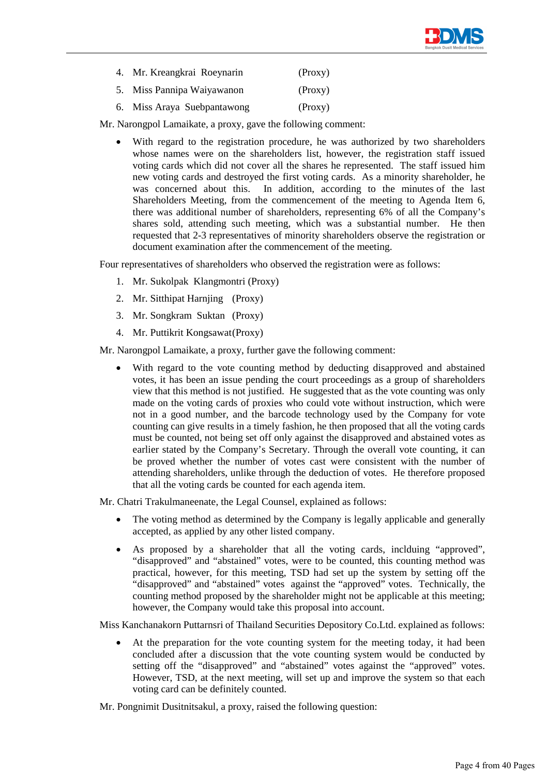

- 4. Mr. Kreangkrai Roeynarin (Proxy)
- 5. Miss Pannipa Waiyawanon (Proxy)
- 6. Miss Araya Suebpantawong (Proxy)

Mr. Narongpol Lamaikate, a proxy, gave the following comment:

With regard to the registration procedure, he was authorized by two shareholders whose names were on the shareholders list, however, the registration staff issued voting cards which did not cover all the shares he represented. The staff issued him new voting cards and destroyed the first voting cards. As a minority shareholder, he was concerned about this. In addition, according to the minutes of the last Shareholders Meeting, from the commencement of the meeting to Agenda Item 6, there was additional number of shareholders, representing 6% of all the Company's shares sold, attending such meeting, which was a substantial number. He then requested that 2-3 representatives of minority shareholders observe the registration or document examination after the commencement of the meeting.

Four representatives of shareholders who observed the registration were as follows:

- 1. Mr. Sukolpak Klangmontri (Proxy)
- 2. Mr. Sitthipat Harnjing (Proxy)
- 3. Mr. Songkram Suktan (Proxy)
- 4. Mr. Puttikrit Kongsawat (Proxy)

Mr. Narongpol Lamaikate, a proxy, further gave the following comment:

With regard to the vote counting method by deducting disapproved and abstained votes, it has been an issue pending the court proceedings as a group of shareholders view that this method is not justified. He suggested that as the vote counting was only made on the voting cards of proxies who could vote without instruction, which were not in a good number, and the barcode technology used by the Company for vote counting can give results in a timely fashion, he then proposed that all the voting cards must be counted, not being set off only against the disapproved and abstained votes as earlier stated by the Company's Secretary. Through the overall vote counting, it can be proved whether the number of votes cast were consistent with the number of attending shareholders, unlike through the deduction of votes. He therefore proposed that all the voting cards be counted for each agenda item.

Mr. Chatri Trakulmaneenate, the Legal Counsel, explained as follows:

- The voting method as determined by the Company is legally applicable and generally accepted, as applied by any other listed company.
- As proposed by a shareholder that all the voting cards, inclduing "approved", "disapproved" and "abstained" votes, were to be counted, this counting method was practical, however, for this meeting, TSD had set up the system by setting off the "disapproved" and "abstained" votes against the "approved" votes. Technically, the counting method proposed by the shareholder might not be applicable at this meeting; however, the Company would take this proposal into account.

Miss Kanchanakorn Puttarnsri of Thailand Securities Depository Co.Ltd. explained as follows:

At the preparation for the vote counting system for the meeting today, it had been concluded after a discussion that the vote counting system would be conducted by setting off the "disapproved" and "abstained" votes against the "approved" votes. However, TSD, at the next meeting, will set up and improve the system so that each voting card can be definitely counted.

Mr. Pongnimit Dusitnitsakul, a proxy, raised the following question: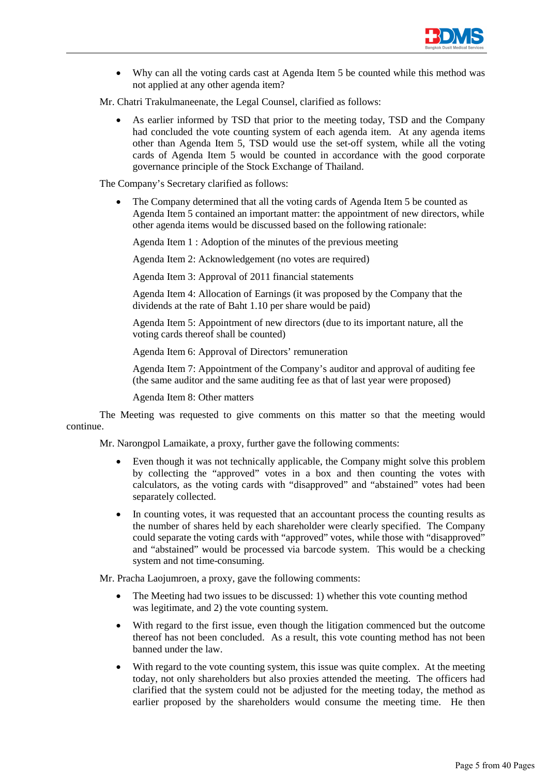

• Why can all the voting cards cast at Agenda Item 5 be counted while this method was not applied at any other agenda item?

Mr. Chatri Trakulmaneenate, the Legal Counsel, clarified as follows:

As earlier informed by TSD that prior to the meeting today, TSD and the Company had concluded the vote counting system of each agenda item. At any agenda items other than Agenda Item 5, TSD would use the set-off system, while all the voting cards of Agenda Item 5 would be counted in accordance with the good corporate governance principle of the Stock Exchange of Thailand.

The Company's Secretary clarified as follows:

The Company determined that all the voting cards of Agenda Item 5 be counted as Agenda Item 5 contained an important matter: the appointment of new directors, while other agenda items would be discussed based on the following rationale:

Agenda Item 1 : Adoption of the minutes of the previous meeting

Agenda Item 2: Acknowledgement (no votes are required)

Agenda Item 3: Approval of 2011 financial statements

Agenda Item 4: Allocation of Earnings (it was proposed by the Company that the dividends at the rate of Baht 1.10 per share would be paid)

Agenda Item 5: Appointment of new directors (due to its important nature, all the voting cards thereof shall be counted)

Agenda Item 6: Approval of Directors' remuneration

Agenda Item 7: Appointment of the Company's auditor and approval of auditing fee (the same auditor and the same auditing fee as that of last year were proposed)

Agenda Item 8: Other matters

The Meeting was requested to give comments on this matter so that the meeting would continue.

Mr. Narongpol Lamaikate, a proxy, further gave the following comments:

- Even though it was not technically applicable, the Company might solve this problem by collecting the "approved" votes in a box and then counting the votes with calculators, as the voting cards with "disapproved" and "abstained" votes had been separately collected.
- In counting votes, it was requested that an accountant process the counting results as the number of shares held by each shareholder were clearly specified. The Company could separate the voting cards with "approved" votes, while those with "disapproved" and "abstained" would be processed via barcode system. This would be a checking system and not time-consuming.

Mr. Pracha Laojumroen, a proxy, gave the following comments:

- The Meeting had two issues to be discussed: 1) whether this vote counting method was legitimate, and 2) the vote counting system.
- With regard to the first issue, even though the litigation commenced but the outcome thereof has not been concluded. As a result, this vote counting method has not been banned under the law.
- With regard to the vote counting system, this issue was quite complex. At the meeting today, not only shareholders but also proxies attended the meeting. The officers had clarified that the system could not be adjusted for the meeting today, the method as earlier proposed by the shareholders would consume the meeting time. He then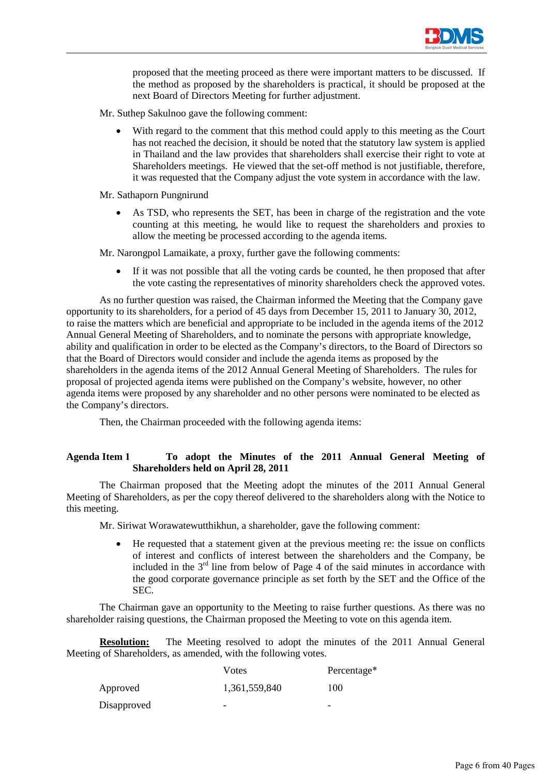

proposed that the meeting proceed as there were important matters to be discussed. If the method as proposed by the shareholders is practical, it should be proposed at the next Board of Directors Meeting for further adjustment.

- Mr. Suthep Sakulnoo gave the following comment:
	- With regard to the comment that this method could apply to this meeting as the Court has not reached the decision, it should be noted that the statutory law system is applied in Thailand and the law provides that shareholders shall exercise their right to vote at Shareholders meetings. He viewed that the set-off method is not justifiable, therefore, it was requested that the Company adjust the vote system in accordance with the law.

#### Mr. Sathaporn Pungnirund

As TSD, who represents the SET, has been in charge of the registration and the vote counting at this meeting, he would like to request the shareholders and proxies to allow the meeting be processed according to the agenda items.

Mr. Narongpol Lamaikate, a proxy, further gave the following comments:

If it was not possible that all the voting cards be counted, he then proposed that after the vote casting the representatives of minority shareholders check the approved votes.

 As no further question was raised, the Chairman informed the Meeting that the Company gave opportunity to its shareholders, for a period of 45 days from December 15, 2011 to January 30, 2012, to raise the matters which are beneficial and appropriate to be included in the agenda items of the 2012 Annual General Meeting of Shareholders, and to nominate the persons with appropriate knowledge, ability and qualification in order to be elected as the Company's directors, to the Board of Directors so that the Board of Directors would consider and include the agenda items as proposed by the shareholders in the agenda items of the 2012 Annual General Meeting of Shareholders. The rules for proposal of projected agenda items were published on the Company's website, however, no other agenda items were proposed by any shareholder and no other persons were nominated to be elected as the Company's directors.

Then, the Chairman proceeded with the following agenda items:

# **Agenda Item 1 To adopt the Minutes of the 2011 Annual General Meeting of Shareholders held on April 28, 2011**

 The Chairman proposed that the Meeting adopt the minutes of the 2011 Annual General Meeting of Shareholders, as per the copy thereof delivered to the shareholders along with the Notice to this meeting.

Mr. Siriwat Worawatewutthikhun, a shareholder, gave the following comment:

• He requested that a statement given at the previous meeting re: the issue on conflicts of interest and conflicts of interest between the shareholders and the Company, be included in the  $3<sup>rd</sup>$  line from below of Page 4 of the said minutes in accordance with the good corporate governance principle as set forth by the SET and the Office of the SEC.

The Chairman gave an opportunity to the Meeting to raise further questions. As there was no shareholder raising questions, the Chairman proposed the Meeting to vote on this agenda item.

**Resolution:** The Meeting resolved to adopt the minutes of the 2011 Annual General Meeting of Shareholders, as amended, with the following votes.

|             | Votes         | Percentage*              |
|-------------|---------------|--------------------------|
| Approved    | 1,361,559,840 | 100                      |
| Disapproved | -             | $\overline{\phantom{0}}$ |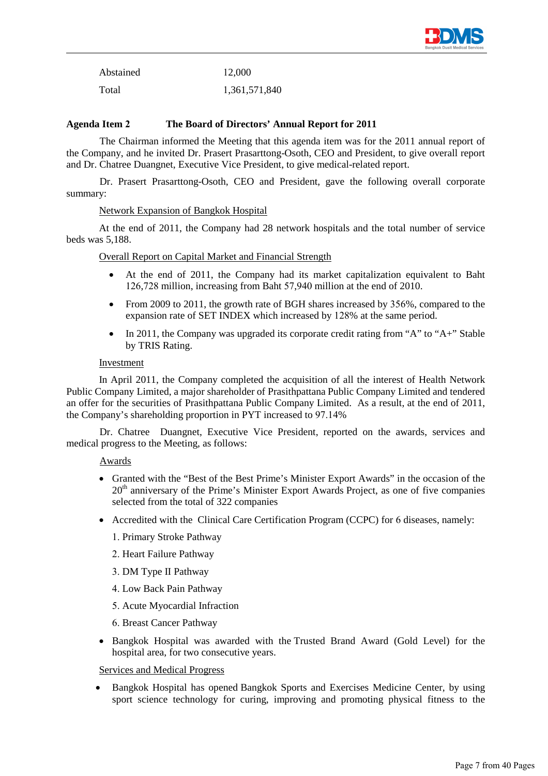

| Abstained | 12,000        |
|-----------|---------------|
| Total     | 1,361,571,840 |

### **Agenda Item 2 The Board of Directors' Annual Report for 2011**

 The Chairman informed the Meeting that this agenda item was for the 2011 annual report of the Company, and he invited Dr. Prasert Prasarttong-Osoth, CEO and President, to give overall report and Dr. Chatree Duangnet, Executive Vice President, to give medical-related report.

 Dr. Prasert Prasarttong-Osoth, CEO and President, gave the following overall corporate summary:

#### Network Expansion of Bangkok Hospital

At the end of 2011, the Company had 28 network hospitals and the total number of service beds was 5,188.

### Overall Report on Capital Market and Financial Strength

- At the end of 2011, the Company had its market capitalization equivalent to Baht 126,728 million, increasing from Baht 57,940 million at the end of 2010.
- From 2009 to 2011, the growth rate of BGH shares increased by 356%, compared to the expansion rate of SET INDEX which increased by 128% at the same period.
- In 2011, the Company was upgraded its corporate credit rating from "A" to "A+" Stable by TRIS Rating.

#### Investment

In April 2011, the Company completed the acquisition of all the interest of Health Network Public Company Limited, a major shareholder of Prasithpattana Public Company Limited and tendered an offer for the securities of Prasithpattana Public Company Limited. As a result, at the end of 2011, the Company's shareholding proportion in PYT increased to 97.14%

 Dr. Chatree Duangnet, Executive Vice President, reported on the awards, services and medical progress to the Meeting, as follows:

#### Awards

- Granted with the "Best of the Best Prime's Minister Export Awards" in the occasion of the  $20<sup>th</sup>$  anniversary of the Prime's Minister Export Awards Project, as one of five companies selected from the total of 322 companies
- Accredited with the Clinical Care Certification Program (CCPC) for 6 diseases, namely:
	- 1. Primary Stroke Pathway
	- 2. Heart Failure Pathway
	- 3. DM Type II Pathway
	- 4. Low Back Pain Pathway
	- 5. Acute Myocardial Infraction
	- 6. Breast Cancer Pathway
- Bangkok Hospital was awarded with the Trusted Brand Award (Gold Level) for the hospital area, for two consecutive years.

#### Services and Medical Progress

• Bangkok Hospital has opened Bangkok Sports and Exercises Medicine Center, by using sport science technology for curing, improving and promoting physical fitness to the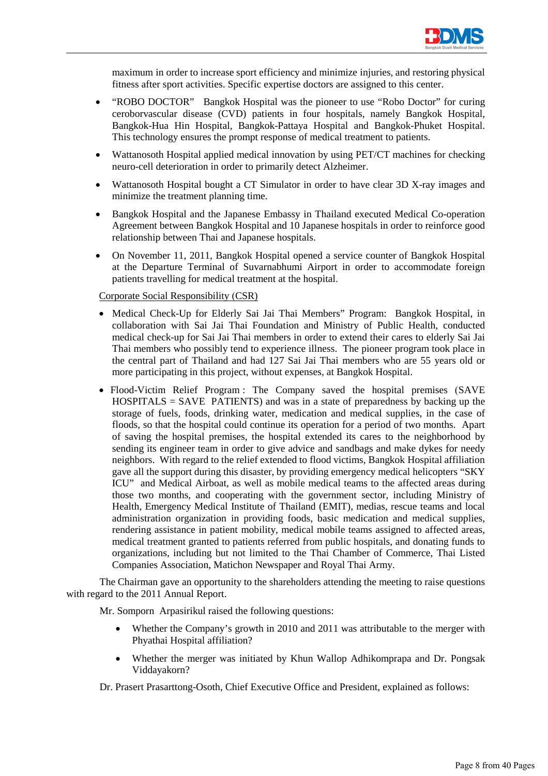

maximum in order to increase sport efficiency and minimize injuries, and restoring physical fitness after sport activities. Specific expertise doctors are assigned to this center.

- "ROBO DOCTOR" Bangkok Hospital was the pioneer to use "Robo Doctor" for curing ceroborvascular disease (CVD) patients in four hospitals, namely Bangkok Hospital, Bangkok-Hua Hin Hospital, Bangkok-Pattaya Hospital and Bangkok-Phuket Hospital. This technology ensures the prompt response of medical treatment to patients.
- Wattanosoth Hospital applied medical innovation by using PET/CT machines for checking neuro-cell deterioration in order to primarily detect Alzheimer.
- Wattanosoth Hospital bought a CT Simulator in order to have clear 3D X-ray images and minimize the treatment planning time.
- Bangkok Hospital and the Japanese Embassy in Thailand executed Medical Co-operation Agreement between Bangkok Hospital and 10 Japanese hospitals in order to reinforce good relationship between Thai and Japanese hospitals.
- On November 11, 2011, Bangkok Hospital opened a service counter of Bangkok Hospital at the Departure Terminal of Suvarnabhumi Airport in order to accommodate foreign patients travelling for medical treatment at the hospital.

### Corporate Social Responsibility (CSR)

- Medical Check-Up for Elderly Sai Jai Thai Members" Program: Bangkok Hospital, in collaboration with Sai Jai Thai Foundation and Ministry of Public Health, conducted medical check-up for Sai Jai Thai members in order to extend their cares to elderly Sai Jai Thai members who possibly tend to experience illness. The pioneer program took place in the central part of Thailand and had 127 Sai Jai Thai members who are 55 years old or more participating in this project, without expenses, at Bangkok Hospital.
- Flood-Victim Relief Program : The Company saved the hospital premises (SAVE  $HOSPITALS = SAVE$  PATIENTS) and was in a state of preparedness by backing up the storage of fuels, foods, drinking water, medication and medical supplies, in the case of floods, so that the hospital could continue its operation for a period of two months. Apart of saving the hospital premises, the hospital extended its cares to the neighborhood by sending its engineer team in order to give advice and sandbags and make dykes for needy neighbors. With regard to the relief extended to flood victims, Bangkok Hospital affiliation gave all the support during this disaster, by providing emergency medical helicopters "SKY ICU" and Medical Airboat, as well as mobile medical teams to the affected areas during those two months, and cooperating with the government sector, including Ministry of Health, Emergency Medical Institute of Thailand (EMIT), medias, rescue teams and local administration organization in providing foods, basic medication and medical supplies, rendering assistance in patient mobility, medical mobile teams assigned to affected areas, medical treatment granted to patients referred from public hospitals, and donating funds to organizations, including but not limited to the Thai Chamber of Commerce, Thai Listed Companies Association, Matichon Newspaper and Royal Thai Army.

 The Chairman gave an opportunity to the shareholders attending the meeting to raise questions with regard to the 2011 Annual Report.

Mr. Somporn Arpasirikul raised the following questions:

- Whether the Company's growth in 2010 and 2011 was attributable to the merger with Phyathai Hospital affiliation?
- Whether the merger was initiated by Khun Wallop Adhikomprapa and Dr. Pongsak Viddayakorn?

Dr. Prasert Prasarttong-Osoth, Chief Executive Office and President, explained as follows: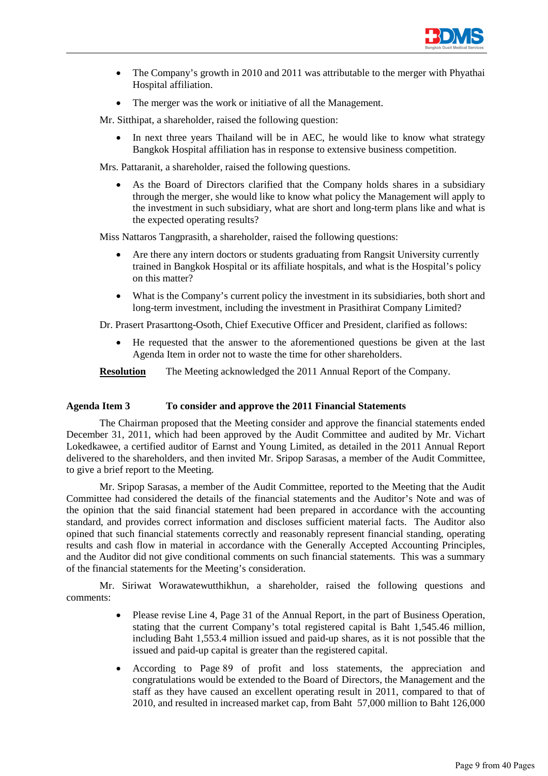

- The Company's growth in 2010 and 2011 was attributable to the merger with Phyathai Hospital affiliation.
- The merger was the work or initiative of all the Management.

Mr. Sitthipat, a shareholder, raised the following question:

In next three years Thailand will be in AEC, he would like to know what strategy Bangkok Hospital affiliation has in response to extensive business competition.

Mrs. Pattaranit, a shareholder, raised the following questions.

As the Board of Directors clarified that the Company holds shares in a subsidiary through the merger, she would like to know what policy the Management will apply to the investment in such subsidiary, what are short and long-term plans like and what is the expected operating results?

Miss Nattaros Tangprasith, a shareholder, raised the following questions:

- Are there any intern doctors or students graduating from Rangsit University currently trained in Bangkok Hospital or its affiliate hospitals, and what is the Hospital's policy on this matter?
- What is the Company's current policy the investment in its subsidiaries, both short and long-term investment, including the investment in Prasithirat Company Limited?

Dr. Prasert Prasarttong-Osoth, Chief Executive Officer and President, clarified as follows:

• He requested that the answer to the aforementioned questions be given at the last Agenda Item in order not to waste the time for other shareholders.

**Resolution** The Meeting acknowledged the 2011 Annual Report of the Company.

# **Agenda Item 3 To consider and approve the 2011 Financial Statements**

 The Chairman proposed that the Meeting consider and approve the financial statements ended December 31, 2011, which had been approved by the Audit Committee and audited by Mr. Vichart Lokedkawee, a certified auditor of Earnst and Young Limited, as detailed in the 2011 Annual Report delivered to the shareholders, and then invited Mr. Sripop Sarasas, a member of the Audit Committee, to give a brief report to the Meeting.

 Mr. Sripop Sarasas, a member of the Audit Committee, reported to the Meeting that the Audit Committee had considered the details of the financial statements and the Auditor's Note and was of the opinion that the said financial statement had been prepared in accordance with the accounting standard, and provides correct information and discloses sufficient material facts. The Auditor also opined that such financial statements correctly and reasonably represent financial standing, operating results and cash flow in material in accordance with the Generally Accepted Accounting Principles, and the Auditor did not give conditional comments on such financial statements. This was a summary of the financial statements for the Meeting's consideration.

 Mr. Siriwat Worawatewutthikhun, a shareholder, raised the following questions and comments:

- Please revise Line 4, Page 31 of the Annual Report, in the part of Business Operation, stating that the current Company's total registered capital is Baht 1,545.46 million, including Baht 1,553.4 million issued and paid-up shares, as it is not possible that the issued and paid-up capital is greater than the registered capital.
- According to Page 89 of profit and loss statements, the appreciation and congratulations would be extended to the Board of Directors, the Management and the staff as they have caused an excellent operating result in 2011, compared to that of 2010, and resulted in increased market cap, from Baht 57,000 million to Baht 126,000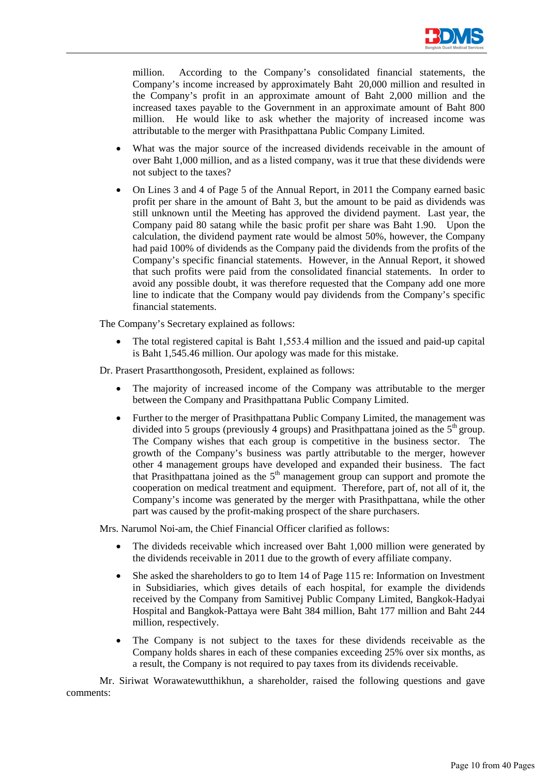

million. According to the Company's consolidated financial statements, the Company's income increased by approximately Baht 20,000 million and resulted in the Company's profit in an approximate amount of Baht 2,000 million and the increased taxes payable to the Government in an approximate amount of Baht 800 million. He would like to ask whether the majority of increased income was attributable to the merger with Prasithpattana Public Company Limited.

- What was the major source of the increased dividends receivable in the amount of over Baht 1,000 million, and as a listed company, was it true that these dividends were not subject to the taxes?
- On Lines 3 and 4 of Page 5 of the Annual Report, in 2011 the Company earned basic profit per share in the amount of Baht 3, but the amount to be paid as dividends was still unknown until the Meeting has approved the dividend payment. Last year, the Company paid 80 satang while the basic profit per share was Baht 1.90. Upon the calculation, the dividend payment rate would be almost 50%, however, the Company had paid 100% of dividends as the Company paid the dividends from the profits of the Company's specific financial statements. However, in the Annual Report, it showed that such profits were paid from the consolidated financial statements. In order to avoid any possible doubt, it was therefore requested that the Company add one more line to indicate that the Company would pay dividends from the Company's specific financial statements.

The Company's Secretary explained as follows:

• The total registered capital is Baht 1,553.4 million and the issued and paid-up capital is Baht 1,545.46 million. Our apology was made for this mistake.

Dr. Prasert Prasartthongosoth, President, explained as follows:

- The majority of increased income of the Company was attributable to the merger between the Company and Prasithpattana Public Company Limited.
- Further to the merger of Prasithpattana Public Company Limited, the management was divided into 5 groups (previously 4 groups) and Prasithpattana joined as the  $5<sup>th</sup>$  group. The Company wishes that each group is competitive in the business sector. The growth of the Company's business was partly attributable to the merger, however other 4 management groups have developed and expanded their business. The fact that Prasithpattana joined as the 5th management group can support and promote the cooperation on medical treatment and equipment. Therefore, part of, not all of it, the Company's income was generated by the merger with Prasithpattana, while the other part was caused by the profit-making prospect of the share purchasers.

Mrs. Narumol Noi-am, the Chief Financial Officer clarified as follows:

- The divideds receivable which increased over Baht 1,000 million were generated by the dividends receivable in 2011 due to the growth of every affiliate company.
- She asked the shareholders to go to Item 14 of Page 115 re: Information on Investment in Subsidiaries, which gives details of each hospital, for example the dividends received by the Company from Samitivej Public Company Limited, Bangkok-Hadyai Hospital and Bangkok-Pattaya were Baht 384 million, Baht 177 million and Baht 244 million, respectively.
- The Company is not subject to the taxes for these dividends receivable as the Company holds shares in each of these companies exceeding 25% over six months, as a result, the Company is not required to pay taxes from its dividends receivable.

Mr. Siriwat Worawatewutthikhun, a shareholder, raised the following questions and gave comments: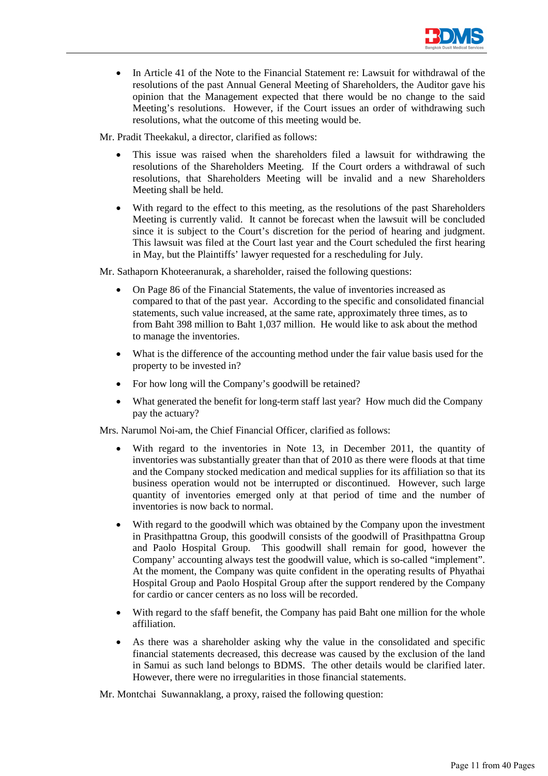

• In Article 41 of the Note to the Financial Statement re: Lawsuit for withdrawal of the resolutions of the past Annual General Meeting of Shareholders, the Auditor gave his opinion that the Management expected that there would be no change to the said Meeting's resolutions. However, if the Court issues an order of withdrawing such resolutions, what the outcome of this meeting would be.

Mr. Pradit Theekakul, a director, clarified as follows:

- This issue was raised when the shareholders filed a lawsuit for withdrawing the resolutions of the Shareholders Meeting. If the Court orders a withdrawal of such resolutions, that Shareholders Meeting will be invalid and a new Shareholders Meeting shall be held.
- With regard to the effect to this meeting, as the resolutions of the past Shareholders Meeting is currently valid. It cannot be forecast when the lawsuit will be concluded since it is subject to the Court's discretion for the period of hearing and judgment. This lawsuit was filed at the Court last year and the Court scheduled the first hearing in May, but the Plaintiffs' lawyer requested for a rescheduling for July.

Mr. Sathaporn Khoteeranurak, a shareholder, raised the following questions:

- On Page 86 of the Financial Statements, the value of inventories increased as compared to that of the past year. According to the specific and consolidated financial statements, such value increased, at the same rate, approximately three times, as to from Baht 398 million to Baht 1,037 million. He would like to ask about the method to manage the inventories.
- What is the difference of the accounting method under the fair value basis used for the property to be invested in?
- For how long will the Company's goodwill be retained?
- What generated the benefit for long-term staff last year? How much did the Company pay the actuary?

Mrs. Narumol Noi-am, the Chief Financial Officer, clarified as follows:

- With regard to the inventories in Note 13, in December 2011, the quantity of inventories was substantially greater than that of 2010 as there were floods at that time and the Company stocked medication and medical supplies for its affiliation so that its business operation would not be interrupted or discontinued. However, such large quantity of inventories emerged only at that period of time and the number of inventories is now back to normal.
- With regard to the goodwill which was obtained by the Company upon the investment in Prasithpattna Group, this goodwill consists of the goodwill of Prasithpattna Group and Paolo Hospital Group. This goodwill shall remain for good, however the Company' accounting always test the goodwill value, which is so-called "implement". At the moment, the Company was quite confident in the operating results of Phyathai Hospital Group and Paolo Hospital Group after the support rendered by the Company for cardio or cancer centers as no loss will be recorded.
- With regard to the sfaff benefit, the Company has paid Baht one million for the whole affiliation.
- As there was a shareholder asking why the value in the consolidated and specific financial statements decreased, this decrease was caused by the exclusion of the land in Samui as such land belongs to BDMS. The other details would be clarified later. However, there were no irregularities in those financial statements.

Mr. Montchai Suwannaklang, a proxy, raised the following question: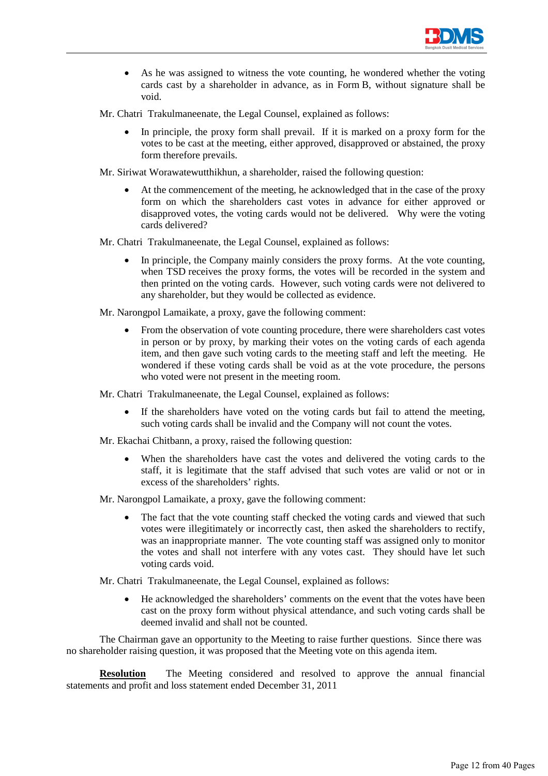

- As he was assigned to witness the vote counting, he wondered whether the voting cards cast by a shareholder in advance, as in Form B, without signature shall be void.
- Mr. Chatri Trakulmaneenate, the Legal Counsel, explained as follows:
	- In principle, the proxy form shall prevail. If it is marked on a proxy form for the votes to be cast at the meeting, either approved, disapproved or abstained, the proxy form therefore prevails.

Mr. Siriwat Worawatewutthikhun, a shareholder, raised the following question:

• At the commencement of the meeting, he acknowledged that in the case of the proxy form on which the shareholders cast votes in advance for either approved or disapproved votes, the voting cards would not be delivered. Why were the voting cards delivered?

Mr. Chatri Trakulmaneenate, the Legal Counsel, explained as follows:

In principle, the Company mainly considers the proxy forms. At the vote counting, when TSD receives the proxy forms, the votes will be recorded in the system and then printed on the voting cards. However, such voting cards were not delivered to any shareholder, but they would be collected as evidence.

Mr. Narongpol Lamaikate, a proxy, gave the following comment:

• From the observation of vote counting procedure, there were shareholders cast votes in person or by proxy, by marking their votes on the voting cards of each agenda item, and then gave such voting cards to the meeting staff and left the meeting. He wondered if these voting cards shall be void as at the vote procedure, the persons who voted were not present in the meeting room.

Mr. Chatri Trakulmaneenate, the Legal Counsel, explained as follows:

- If the shareholders have voted on the voting cards but fail to attend the meeting, such voting cards shall be invalid and the Company will not count the votes.
- Mr. Ekachai Chitbann, a proxy, raised the following question:
	- When the shareholders have cast the votes and delivered the voting cards to the staff, it is legitimate that the staff advised that such votes are valid or not or in excess of the shareholders' rights.

Mr. Narongpol Lamaikate, a proxy, gave the following comment:

The fact that the vote counting staff checked the voting cards and viewed that such votes were illegitimately or incorrectly cast, then asked the shareholders to rectify, was an inappropriate manner. The vote counting staff was assigned only to monitor the votes and shall not interfere with any votes cast. They should have let such voting cards void.

Mr. Chatri Trakulmaneenate, the Legal Counsel, explained as follows:

• He acknowledged the shareholders' comments on the event that the votes have been cast on the proxy form without physical attendance, and such voting cards shall be deemed invalid and shall not be counted.

The Chairman gave an opportunity to the Meeting to raise further questions. Since there was no shareholder raising question, it was proposed that the Meeting vote on this agenda item.

**Resolution** The Meeting considered and resolved to approve the annual financial statements and profit and loss statement ended December 31, 2011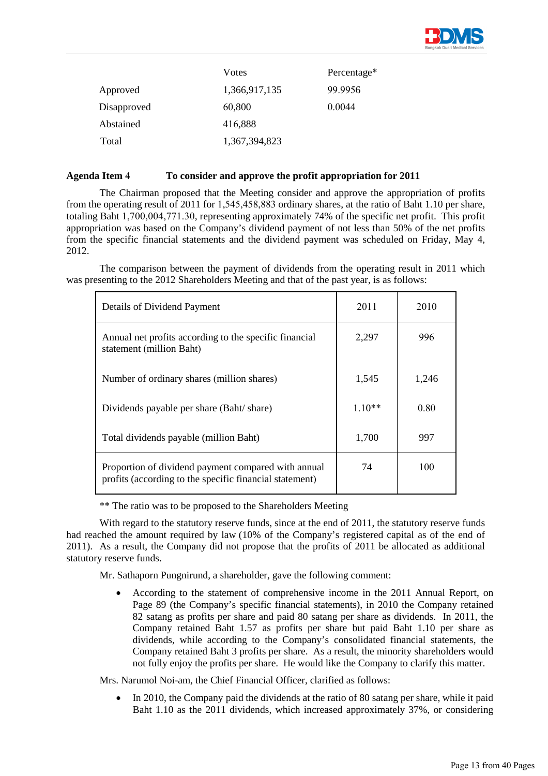

|             | Votes         | Percentage* |
|-------------|---------------|-------------|
| Approved    | 1,366,917,135 | 99.9956     |
| Disapproved | 60,800        | 0.0044      |
| Abstained   | 416,888       |             |
| Total       | 1,367,394,823 |             |

#### **Agenda Item 4 To consider and approve the profit appropriation for 2011**

 The Chairman proposed that the Meeting consider and approve the appropriation of profits from the operating result of 2011 for 1,545,458,883 ordinary shares, at the ratio of Baht 1.10 per share, totaling Baht 1,700,004,771.30, representing approximately 74% of the specific net profit. This profit appropriation was based on the Company's dividend payment of not less than 50% of the net profits from the specific financial statements and the dividend payment was scheduled on Friday, May 4, 2012.

 The comparison between the payment of dividends from the operating result in 2011 which was presenting to the 2012 Shareholders Meeting and that of the past year, is as follows:

| Details of Dividend Payment                                                                                    | 2011     | 2010  |
|----------------------------------------------------------------------------------------------------------------|----------|-------|
| Annual net profits according to the specific financial<br>statement (million Baht)                             | 2,297    | 996   |
| Number of ordinary shares (million shares)                                                                     | 1,545    | 1,246 |
| Dividends payable per share (Baht/share)                                                                       | $1.10**$ | 0.80  |
| Total dividends payable (million Baht)                                                                         | 1,700    | 997   |
| Proportion of dividend payment compared with annual<br>profits (according to the specific financial statement) | 74       | 100   |

\*\* The ratio was to be proposed to the Shareholders Meeting

 With regard to the statutory reserve funds, since at the end of 2011, the statutory reserve funds had reached the amount required by law (10% of the Company's registered capital as of the end of 2011). As a result, the Company did not propose that the profits of 2011 be allocated as additional statutory reserve funds.

Mr. Sathaporn Pungnirund, a shareholder, gave the following comment:

• According to the statement of comprehensive income in the 2011 Annual Report, on Page 89 (the Company's specific financial statements), in 2010 the Company retained 82 satang as profits per share and paid 80 satang per share as dividends. In 2011, the Company retained Baht 1.57 as profits per share but paid Baht 1.10 per share as dividends, while according to the Company's consolidated financial statements, the Company retained Baht 3 profits per share. As a result, the minority shareholders would not fully enjoy the profits per share. He would like the Company to clarify this matter.

Mrs. Narumol Noi-am, the Chief Financial Officer, clarified as follows:

• In 2010, the Company paid the dividends at the ratio of 80 satang per share, while it paid Baht 1.10 as the 2011 dividends, which increased approximately 37%, or considering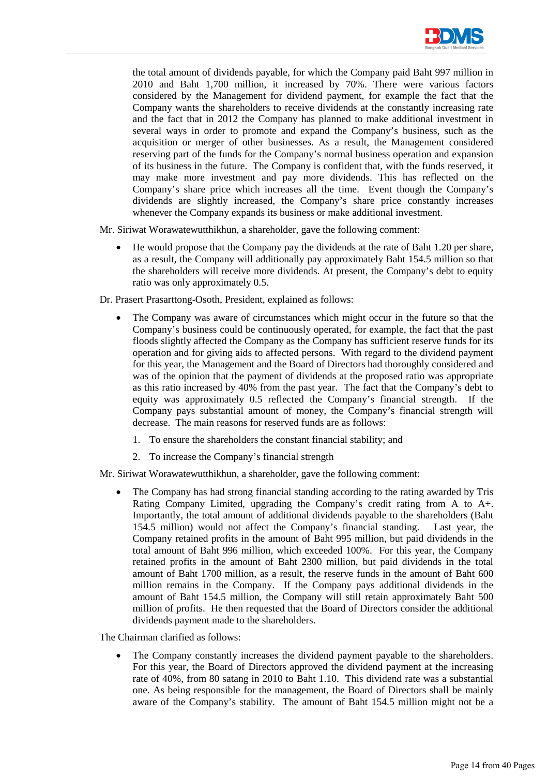

the total amount of dividends payable, for which the Company paid Baht 997 million in 2010 and Baht 1,700 million, it increased by 70%. There were various factors considered by the Management for dividend payment, for example the fact that the Company wants the shareholders to receive dividends at the constantly increasing rate and the fact that in 2012 the Company has planned to make additional investment in several ways in order to promote and expand the Company's business, such as the acquisition or merger of other businesses. As a result, the Management considered reserving part of the funds for the Company's normal business operation and expansion of its business in the future. The Company is confident that, with the funds reserved, it may make more investment and pay more dividends. This has reflected on the Company's share price which increases all the time. Event though the Company's dividends are slightly increased, the Company's share price constantly increases whenever the Company expands its business or make additional investment.

Mr. Siriwat Worawatewutthikhun, a shareholder, gave the following comment:

• He would propose that the Company pay the dividends at the rate of Baht 1.20 per share, as a result, the Company will additionally pay approximately Baht 154.5 million so that the shareholders will receive more dividends. At present, the Company's debt to equity ratio was only approximately 0.5.

Dr. Prasert Prasarttong-Osoth, President, explained as follows:

- The Company was aware of circumstances which might occur in the future so that the Company's business could be continuously operated, for example, the fact that the past floods slightly affected the Company as the Company has sufficient reserve funds for its operation and for giving aids to affected persons. With regard to the dividend payment for this year, the Management and the Board of Directors had thoroughly considered and was of the opinion that the payment of dividends at the proposed ratio was appropriate as this ratio increased by 40% from the past year. The fact that the Company's debt to equity was approximately 0.5 reflected the Company's financial strength. If the Company pays substantial amount of money, the Company's financial strength will decrease. The main reasons for reserved funds are as follows:
	- 1. To ensure the shareholders the constant financial stability; and
	- 2. To increase the Company's financial strength

Mr. Siriwat Worawatewutthikhun, a shareholder, gave the following comment:

• The Company has had strong financial standing according to the rating awarded by Tris Rating Company Limited, upgrading the Company's credit rating from A to A+. Importantly, the total amount of additional dividends payable to the shareholders (Baht 154.5 million) would not affect the Company's financial standing. Last year, the Company retained profits in the amount of Baht 995 million, but paid dividends in the total amount of Baht 996 million, which exceeded 100%. For this year, the Company retained profits in the amount of Baht 2300 million, but paid dividends in the total amount of Baht 1700 million, as a result, the reserve funds in the amount of Baht 600 million remains in the Company. If the Company pays additional dividends in the amount of Baht 154.5 million, the Company will still retain approximately Baht 500 million of profits. He then requested that the Board of Directors consider the additional dividends payment made to the shareholders.

The Chairman clarified as follows:

The Company constantly increases the dividend payment payable to the shareholders. For this year, the Board of Directors approved the dividend payment at the increasing rate of 40%, from 80 satang in 2010 to Baht 1.10. This dividend rate was a substantial one. As being responsible for the management, the Board of Directors shall be mainly aware of the Company's stability. The amount of Baht 154.5 million might not be a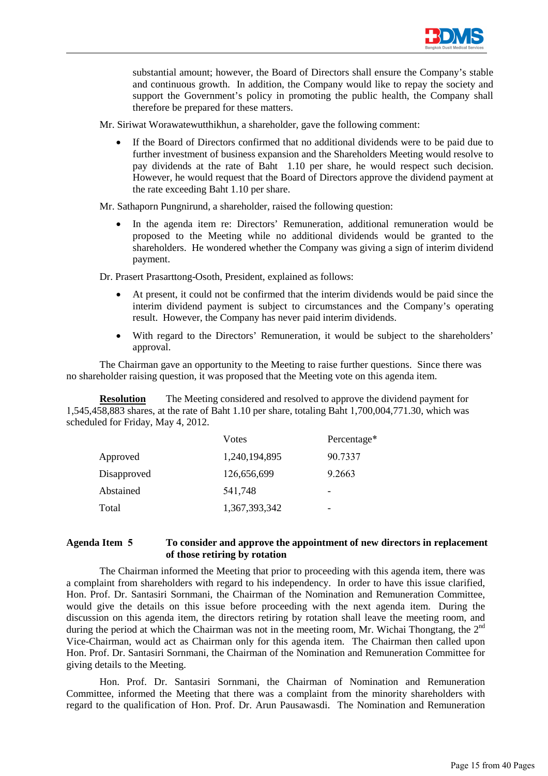

substantial amount; however, the Board of Directors shall ensure the Company's stable and continuous growth. In addition, the Company would like to repay the society and support the Government's policy in promoting the public health, the Company shall therefore be prepared for these matters.

Mr. Siriwat Worawatewutthikhun, a shareholder, gave the following comment:

• If the Board of Directors confirmed that no additional dividends were to be paid due to further investment of business expansion and the Shareholders Meeting would resolve to pay dividends at the rate of Baht 1.10 per share, he would respect such decision. However, he would request that the Board of Directors approve the dividend payment at the rate exceeding Baht 1.10 per share.

Mr. Sathaporn Pungnirund, a shareholder, raised the following question:

• In the agenda item re: Directors' Remuneration, additional remuneration would be proposed to the Meeting while no additional dividends would be granted to the shareholders. He wondered whether the Company was giving a sign of interim dividend payment.

Dr. Prasert Prasarttong-Osoth, President, explained as follows:

- At present, it could not be confirmed that the interim dividends would be paid since the interim dividend payment is subject to circumstances and the Company's operating result. However, the Company has never paid interim dividends.
- With regard to the Directors' Remuneration, it would be subject to the shareholders' approval.

The Chairman gave an opportunity to the Meeting to raise further questions. Since there was no shareholder raising question, it was proposed that the Meeting vote on this agenda item.

**Resolution** The Meeting considered and resolved to approve the dividend payment for 1,545,458,883 shares, at the rate of Baht 1.10 per share, totaling Baht 1,700,004,771.30, which was scheduled for Friday, May 4, 2012.

|             | Votes         | Percentage* |
|-------------|---------------|-------------|
| Approved    | 1,240,194,895 | 90.7337     |
| Disapproved | 126,656,699   | 9.2663      |
| Abstained   | 541,748       | -           |
| Total       | 1,367,393,342 |             |

# **Agenda Item 5 To consider and approve the appointment of new directors in replacement of those retiring by rotation**

 The Chairman informed the Meeting that prior to proceeding with this agenda item, there was a complaint from shareholders with regard to his independency. In order to have this issue clarified, Hon. Prof. Dr. Santasiri Sornmani, the Chairman of the Nomination and Remuneration Committee, would give the details on this issue before proceeding with the next agenda item. During the discussion on this agenda item, the directors retiring by rotation shall leave the meeting room, and during the period at which the Chairman was not in the meeting room, Mr. Wichai Thongtang, the 2<sup>nd</sup> Vice-Chairman, would act as Chairman only for this agenda item. The Chairman then called upon Hon. Prof. Dr. Santasiri Sornmani, the Chairman of the Nomination and Remuneration Committee for giving details to the Meeting.

 Hon. Prof. Dr. Santasiri Sornmani, the Chairman of Nomination and Remuneration Committee, informed the Meeting that there was a complaint from the minority shareholders with regard to the qualification of Hon. Prof. Dr. Arun Pausawasdi. The Nomination and Remuneration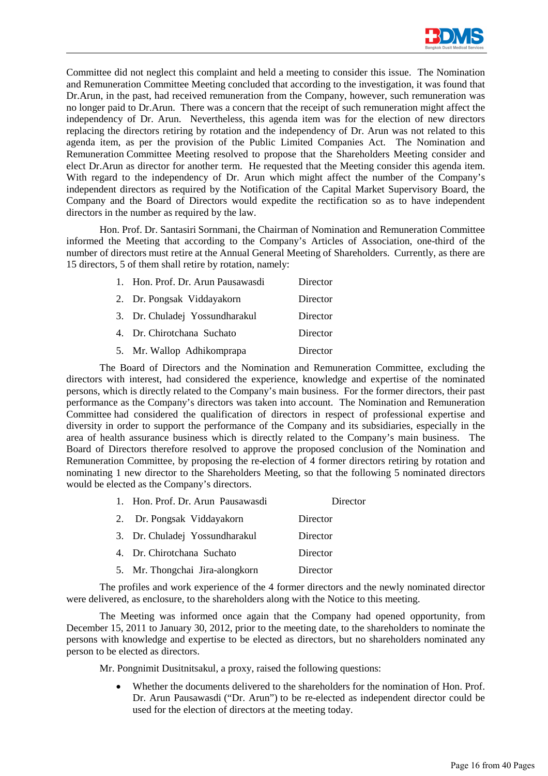

Committee did not neglect this complaint and held a meeting to consider this issue. The Nomination and Remuneration Committee Meeting concluded that according to the investigation, it was found that Dr.Arun, in the past, had received remuneration from the Company, however, such remuneration was no longer paid to Dr.Arun. There was a concern that the receipt of such remuneration might affect the independency of Dr. Arun. Nevertheless, this agenda item was for the election of new directors replacing the directors retiring by rotation and the independency of Dr. Arun was not related to this agenda item, as per the provision of the Public Limited Companies Act. The Nomination and Remuneration Committee Meeting resolved to propose that the Shareholders Meeting consider and elect Dr.Arun as director for another term. He requested that the Meeting consider this agenda item. With regard to the independency of Dr. Arun which might affect the number of the Company's independent directors as required by the Notification of the Capital Market Supervisory Board, the Company and the Board of Directors would expedite the rectification so as to have independent directors in the number as required by the law.

 Hon. Prof. Dr. Santasiri Sornmani, the Chairman of Nomination and Remuneration Committee informed the Meeting that according to the Company's Articles of Association, one-third of the number of directors must retire at the Annual General Meeting of Shareholders. Currently, as there are 15 directors, 5 of them shall retire by rotation, namely:

| 1. Hon. Prof. Dr. Arun Pausawasdi | Director |
|-----------------------------------|----------|
| 2. Dr. Pongsak Viddayakorn        | Director |
| 3. Dr. Chuladej Yossundharakul    | Director |
| 4. Dr. Chirotchana Suchato        | Director |
| 5. Mr. Wallop Adhikomprapa        | Director |

 The Board of Directors and the Nomination and Remuneration Committee, excluding the directors with interest, had considered the experience, knowledge and expertise of the nominated persons, which is directly related to the Company's main business. For the former directors, their past performance as the Company's directors was taken into account. The Nomination and Remuneration Committee had considered the qualification of directors in respect of professional expertise and diversity in order to support the performance of the Company and its subsidiaries, especially in the area of health assurance business which is directly related to the Company's main business. The Board of Directors therefore resolved to approve the proposed conclusion of the Nomination and Remuneration Committee, by proposing the re-election of 4 former directors retiring by rotation and nominating 1 new director to the Shareholders Meeting, so that the following 5 nominated directors would be elected as the Company's directors.

| 1. Hon. Prof. Dr. Arun Pausawasdi | Director |
|-----------------------------------|----------|
| 2. Dr. Pongsak Viddayakorn        | Director |
| 3. Dr. Chuladej Yossundharakul    | Director |
| 4. Dr. Chirotchana Suchato        | Director |
| 5. Mr. Thongchai Jira-alongkorn   | Director |

 The profiles and work experience of the 4 former directors and the newly nominated director were delivered, as enclosure, to the shareholders along with the Notice to this meeting.

 The Meeting was informed once again that the Company had opened opportunity, from December 15, 2011 to January 30, 2012, prior to the meeting date, to the shareholders to nominate the persons with knowledge and expertise to be elected as directors, but no shareholders nominated any person to be elected as directors.

Mr. Pongnimit Dusitnitsakul, a proxy, raised the following questions:

• Whether the documents delivered to the shareholders for the nomination of Hon. Prof. Dr. Arun Pausawasdi ("Dr. Arun") to be re-elected as independent director could be used for the election of directors at the meeting today.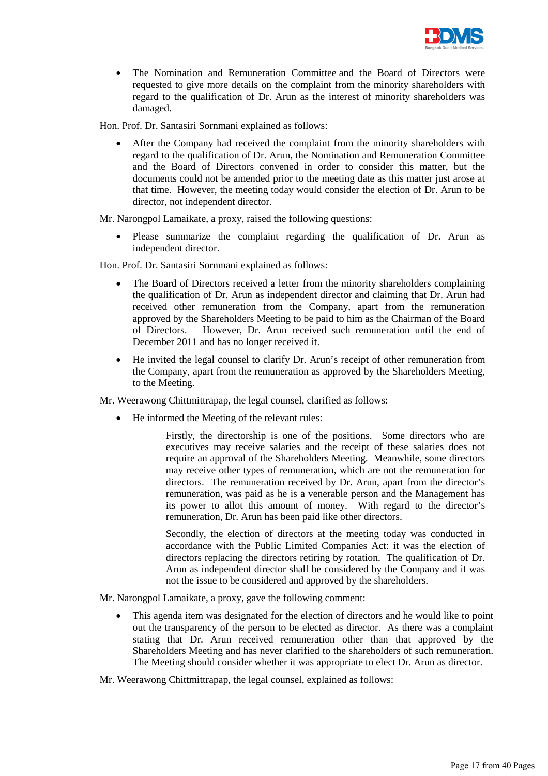

• The Nomination and Remuneration Committee and the Board of Directors were requested to give more details on the complaint from the minority shareholders with regard to the qualification of Dr. Arun as the interest of minority shareholders was damaged.

Hon. Prof. Dr. Santasiri Sornmani explained as follows:

After the Company had received the complaint from the minority shareholders with regard to the qualification of Dr. Arun, the Nomination and Remuneration Committee and the Board of Directors convened in order to consider this matter, but the documents could not be amended prior to the meeting date as this matter just arose at that time. However, the meeting today would consider the election of Dr. Arun to be director, not independent director.

Mr. Narongpol Lamaikate, a proxy, raised the following questions:

Please summarize the complaint regarding the qualification of Dr. Arun as independent director.

Hon. Prof. Dr. Santasiri Sornmani explained as follows:

- The Board of Directors received a letter from the minority shareholders complaining the qualification of Dr. Arun as independent director and claiming that Dr. Arun had received other remuneration from the Company, apart from the remuneration approved by the Shareholders Meeting to be paid to him as the Chairman of the Board of Directors. However, Dr. Arun received such remuneration until the end of December 2011 and has no longer received it.
- He invited the legal counsel to clarify Dr. Arun's receipt of other remuneration from the Company, apart from the remuneration as approved by the Shareholders Meeting, to the Meeting.

Mr. Weerawong Chittmittrapap, the legal counsel, clarified as follows:

- He informed the Meeting of the relevant rules:
	- Firstly, the directorship is one of the positions. Some directors who are executives may receive salaries and the receipt of these salaries does not require an approval of the Shareholders Meeting. Meanwhile, some directors may receive other types of remuneration, which are not the remuneration for directors. The remuneration received by Dr. Arun, apart from the director's remuneration, was paid as he is a venerable person and the Management has its power to allot this amount of money. With regard to the director's remuneration, Dr. Arun has been paid like other directors.
	- Secondly, the election of directors at the meeting today was conducted in accordance with the Public Limited Companies Act: it was the election of directors replacing the directors retiring by rotation. The qualification of Dr. Arun as independent director shall be considered by the Company and it was not the issue to be considered and approved by the shareholders.

Mr. Narongpol Lamaikate, a proxy, gave the following comment:

- This agenda item was designated for the election of directors and he would like to point out the transparency of the person to be elected as director. As there was a complaint stating that Dr. Arun received remuneration other than that approved by the Shareholders Meeting and has never clarified to the shareholders of such remuneration. The Meeting should consider whether it was appropriate to elect Dr. Arun as director.
- Mr. Weerawong Chittmittrapap, the legal counsel, explained as follows: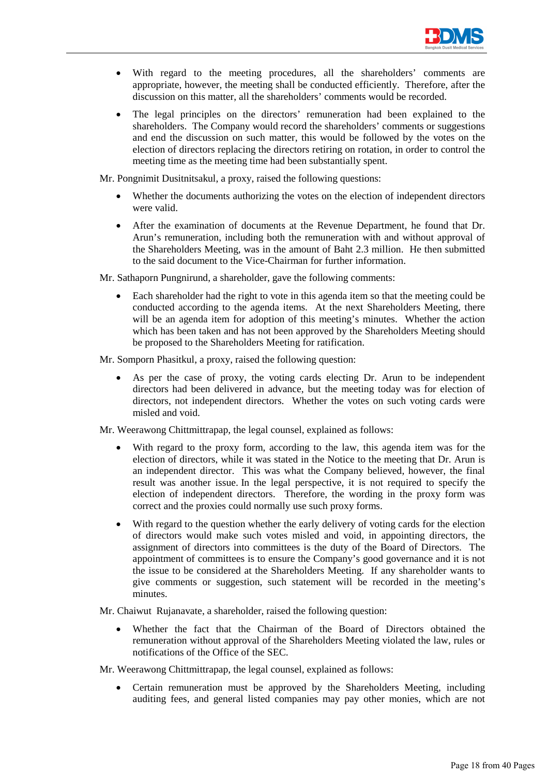

- With regard to the meeting procedures, all the shareholders' comments are appropriate, however, the meeting shall be conducted efficiently. Therefore, after the discussion on this matter, all the shareholders' comments would be recorded.
- The legal principles on the directors' remuneration had been explained to the shareholders. The Company would record the shareholders' comments or suggestions and end the discussion on such matter, this would be followed by the votes on the election of directors replacing the directors retiring on rotation, in order to control the meeting time as the meeting time had been substantially spent.

Mr. Pongnimit Dusitnitsakul, a proxy, raised the following questions:

- Whether the documents authorizing the votes on the election of independent directors were valid.
- After the examination of documents at the Revenue Department, he found that Dr. Arun's remuneration, including both the remuneration with and without approval of the Shareholders Meeting, was in the amount of Baht 2.3 million. He then submitted to the said document to the Vice-Chairman for further information.

Mr. Sathaporn Pungnirund, a shareholder, gave the following comments:

• Each shareholder had the right to vote in this agenda item so that the meeting could be conducted according to the agenda items. At the next Shareholders Meeting, there will be an agenda item for adoption of this meeting's minutes. Whether the action which has been taken and has not been approved by the Shareholders Meeting should be proposed to the Shareholders Meeting for ratification.

Mr. Somporn Phasitkul, a proxy, raised the following question:

As per the case of proxy, the voting cards electing Dr. Arun to be independent directors had been delivered in advance, but the meeting today was for election of directors, not independent directors. Whether the votes on such voting cards were misled and void.

Mr. Weerawong Chittmittrapap, the legal counsel, explained as follows:

- With regard to the proxy form, according to the law, this agenda item was for the election of directors, while it was stated in the Notice to the meeting that Dr. Arun is an independent director. This was what the Company believed, however, the final result was another issue. In the legal perspective, it is not required to specify the election of independent directors. Therefore, the wording in the proxy form was correct and the proxies could normally use such proxy forms.
- With regard to the question whether the early delivery of voting cards for the election of directors would make such votes misled and void, in appointing directors, the assignment of directors into committees is the duty of the Board of Directors. The appointment of committees is to ensure the Company's good governance and it is not the issue to be considered at the Shareholders Meeting. If any shareholder wants to give comments or suggestion, such statement will be recorded in the meeting's minutes.

Mr. Chaiwut Rujanavate, a shareholder, raised the following question:

• Whether the fact that the Chairman of the Board of Directors obtained the remuneration without approval of the Shareholders Meeting violated the law, rules or notifications of the Office of the SEC.

Mr. Weerawong Chittmittrapap, the legal counsel, explained as follows:

• Certain remuneration must be approved by the Shareholders Meeting, including auditing fees, and general listed companies may pay other monies, which are not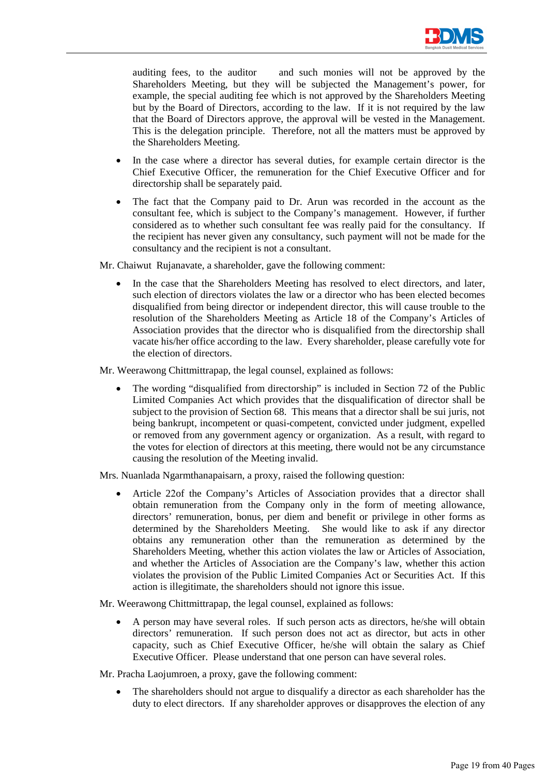

auditing fees, to the auditor and such monies will not be approved by the Shareholders Meeting, but they will be subjected the Management's power, for example, the special auditing fee which is not approved by the Shareholders Meeting but by the Board of Directors, according to the law. If it is not required by the law that the Board of Directors approve, the approval will be vested in the Management. This is the delegation principle. Therefore, not all the matters must be approved by the Shareholders Meeting.

- In the case where a director has several duties, for example certain director is the Chief Executive Officer, the remuneration for the Chief Executive Officer and for directorship shall be separately paid.
- The fact that the Company paid to Dr. Arun was recorded in the account as the consultant fee, which is subject to the Company's management. However, if further considered as to whether such consultant fee was really paid for the consultancy. If the recipient has never given any consultancy, such payment will not be made for the consultancy and the recipient is not a consultant.

Mr. Chaiwut Rujanavate, a shareholder, gave the following comment:

In the case that the Shareholders Meeting has resolved to elect directors, and later, such election of directors violates the law or a director who has been elected becomes disqualified from being director or independent director, this will cause trouble to the resolution of the Shareholders Meeting as Article 18 of the Company's Articles of Association provides that the director who is disqualified from the directorship shall vacate his/her office according to the law. Every shareholder, please carefully vote for the election of directors.

Mr. Weerawong Chittmittrapap, the legal counsel, explained as follows:

The wording "disqualified from directorship" is included in Section 72 of the Public Limited Companies Act which provides that the disqualification of director shall be subject to the provision of Section 68. This means that a director shall be sui juris, not being bankrupt, incompetent or quasi-competent, convicted under judgment, expelled or removed from any government agency or organization. As a result, with regard to the votes for election of directors at this meeting, there would not be any circumstance causing the resolution of the Meeting invalid.

Mrs. Nuanlada Ngarmthanapaisarn, a proxy, raised the following question:

• Article 22of the Company's Articles of Association provides that a director shall obtain remuneration from the Company only in the form of meeting allowance, directors' remuneration, bonus, per diem and benefit or privilege in other forms as determined by the Shareholders Meeting. She would like to ask if any director obtains any remuneration other than the remuneration as determined by the Shareholders Meeting, whether this action violates the law or Articles of Association, and whether the Articles of Association are the Company's law, whether this action violates the provision of the Public Limited Companies Act or Securities Act. If this action is illegitimate, the shareholders should not ignore this issue.

Mr. Weerawong Chittmittrapap, the legal counsel, explained as follows:

• A person may have several roles. If such person acts as directors, he/she will obtain directors' remuneration. If such person does not act as director, but acts in other capacity, such as Chief Executive Officer, he/she will obtain the salary as Chief Executive Officer. Please understand that one person can have several roles.

Mr. Pracha Laojumroen, a proxy, gave the following comment:

• The shareholders should not argue to disqualify a director as each shareholder has the duty to elect directors. If any shareholder approves or disapproves the election of any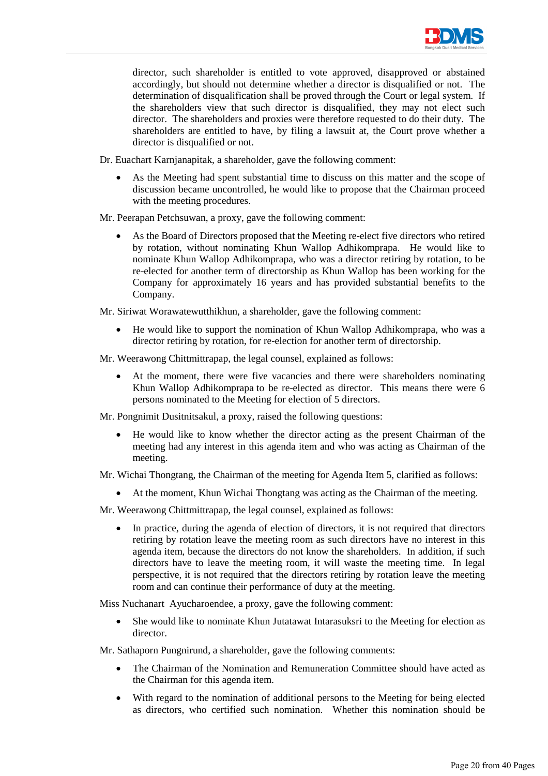

director, such shareholder is entitled to vote approved, disapproved or abstained accordingly, but should not determine whether a director is disqualified or not. The determination of disqualification shall be proved through the Court or legal system. If the shareholders view that such director is disqualified, they may not elect such director. The shareholders and proxies were therefore requested to do their duty. The shareholders are entitled to have, by filing a lawsuit at, the Court prove whether a director is disqualified or not.

Dr. Euachart Karnjanapitak, a shareholder, gave the following comment:

As the Meeting had spent substantial time to discuss on this matter and the scope of discussion became uncontrolled, he would like to propose that the Chairman proceed with the meeting procedures.

Mr. Peerapan Petchsuwan, a proxy, gave the following comment:

- As the Board of Directors proposed that the Meeting re-elect five directors who retired by rotation, without nominating Khun Wallop Adhikomprapa. He would like to nominate Khun Wallop Adhikomprapa, who was a director retiring by rotation, to be re-elected for another term of directorship as Khun Wallop has been working for the Company for approximately 16 years and has provided substantial benefits to the Company.
- Mr. Siriwat Worawatewutthikhun, a shareholder, gave the following comment:
	- He would like to support the nomination of Khun Wallop Adhikomprapa, who was a director retiring by rotation, for re-election for another term of directorship.
- Mr. Weerawong Chittmittrapap, the legal counsel, explained as follows:
	- At the moment, there were five vacancies and there were shareholders nominating Khun Wallop Adhikomprapa to be re-elected as director. This means there were 6 persons nominated to the Meeting for election of 5 directors.

Mr. Pongnimit Dusitnitsakul, a proxy, raised the following questions:

• He would like to know whether the director acting as the present Chairman of the meeting had any interest in this agenda item and who was acting as Chairman of the meeting.

Mr. Wichai Thongtang, the Chairman of the meeting for Agenda Item 5, clarified as follows:

• At the moment, Khun Wichai Thongtang was acting as the Chairman of the meeting.

Mr. Weerawong Chittmittrapap, the legal counsel, explained as follows:

• In practice, during the agenda of election of directors, it is not required that directors retiring by rotation leave the meeting room as such directors have no interest in this agenda item, because the directors do not know the shareholders. In addition, if such directors have to leave the meeting room, it will waste the meeting time. In legal perspective, it is not required that the directors retiring by rotation leave the meeting room and can continue their performance of duty at the meeting.

Miss Nuchanart Ayucharoendee, a proxy, gave the following comment:

• She would like to nominate Khun Jutatawat Intarasuksri to the Meeting for election as director.

Mr. Sathaporn Pungnirund, a shareholder, gave the following comments:

- The Chairman of the Nomination and Remuneration Committee should have acted as the Chairman for this agenda item.
- With regard to the nomination of additional persons to the Meeting for being elected as directors, who certified such nomination. Whether this nomination should be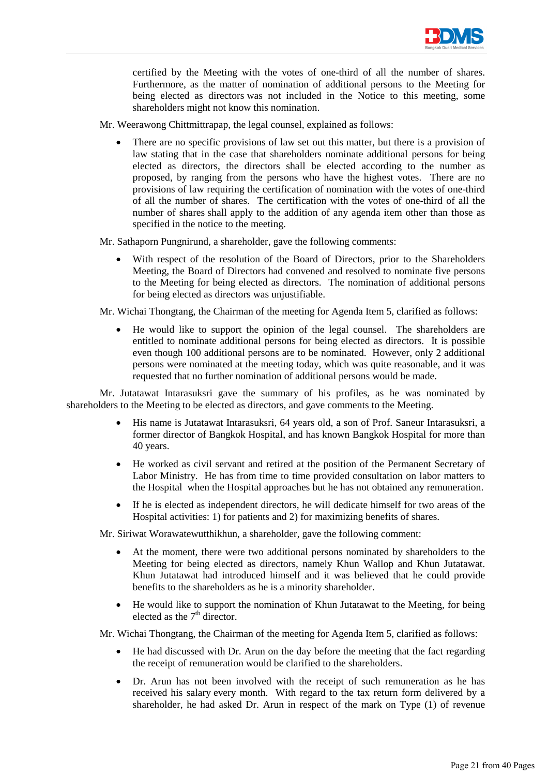

certified by the Meeting with the votes of one-third of all the number of shares. Furthermore, as the matter of nomination of additional persons to the Meeting for being elected as directors was not included in the Notice to this meeting, some shareholders might not know this nomination.

- Mr. Weerawong Chittmittrapap, the legal counsel, explained as follows:
	- There are no specific provisions of law set out this matter, but there is a provision of law stating that in the case that shareholders nominate additional persons for being elected as directors, the directors shall be elected according to the number as proposed, by ranging from the persons who have the highest votes. There are no provisions of law requiring the certification of nomination with the votes of one-third of all the number of shares. The certification with the votes of one-third of all the number of shares shall apply to the addition of any agenda item other than those as specified in the notice to the meeting.

Mr. Sathaporn Pungnirund, a shareholder, gave the following comments:

- With respect of the resolution of the Board of Directors, prior to the Shareholders Meeting, the Board of Directors had convened and resolved to nominate five persons to the Meeting for being elected as directors. The nomination of additional persons for being elected as directors was unjustifiable.
- Mr. Wichai Thongtang, the Chairman of the meeting for Agenda Item 5, clarified as follows:
	- He would like to support the opinion of the legal counsel. The shareholders are entitled to nominate additional persons for being elected as directors. It is possible even though 100 additional persons are to be nominated. However, only 2 additional persons were nominated at the meeting today, which was quite reasonable, and it was requested that no further nomination of additional persons would be made.

Mr. Jutatawat Intarasuksri gave the summary of his profiles, as he was nominated by shareholders to the Meeting to be elected as directors, and gave comments to the Meeting.

- His name is Jutatawat Intarasuksri, 64 years old, a son of Prof. Saneur Intarasuksri, a former director of Bangkok Hospital, and has known Bangkok Hospital for more than 40 years.
- He worked as civil servant and retired at the position of the Permanent Secretary of Labor Ministry. He has from time to time provided consultation on labor matters to the Hospital when the Hospital approaches but he has not obtained any remuneration.
- If he is elected as independent directors, he will dedicate himself for two areas of the Hospital activities: 1) for patients and 2) for maximizing benefits of shares.

Mr. Siriwat Worawatewutthikhun, a shareholder, gave the following comment:

- At the moment, there were two additional persons nominated by shareholders to the Meeting for being elected as directors, namely Khun Wallop and Khun Jutatawat. Khun Jutatawat had introduced himself and it was believed that he could provide benefits to the shareholders as he is a minority shareholder.
- He would like to support the nomination of Khun Jutatawat to the Meeting, for being elected as the  $7<sup>th</sup>$  director.

Mr. Wichai Thongtang, the Chairman of the meeting for Agenda Item 5, clarified as follows:

- He had discussed with Dr. Arun on the day before the meeting that the fact regarding the receipt of remuneration would be clarified to the shareholders.
- Dr. Arun has not been involved with the receipt of such remuneration as he has received his salary every month. With regard to the tax return form delivered by a shareholder, he had asked Dr. Arun in respect of the mark on Type (1) of revenue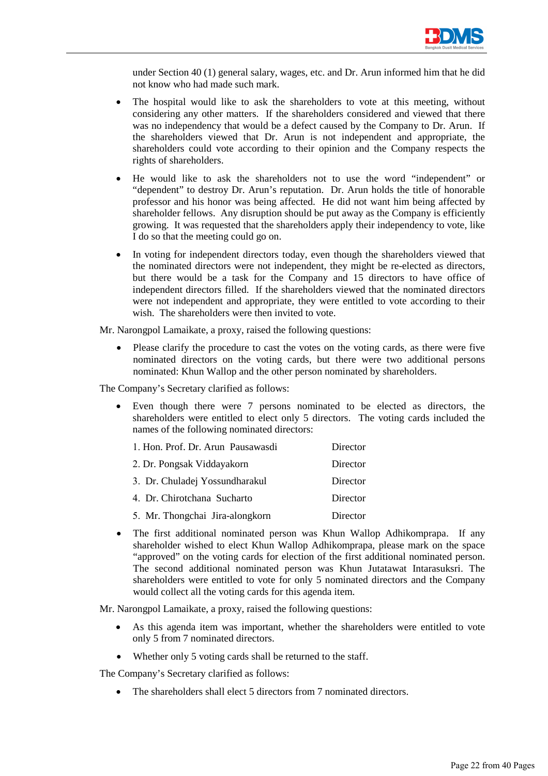

under Section 40 (1) general salary, wages, etc. and Dr. Arun informed him that he did not know who had made such mark.

- The hospital would like to ask the shareholders to vote at this meeting, without considering any other matters. If the shareholders considered and viewed that there was no independency that would be a defect caused by the Company to Dr. Arun. If the shareholders viewed that Dr. Arun is not independent and appropriate, the shareholders could vote according to their opinion and the Company respects the rights of shareholders.
- He would like to ask the shareholders not to use the word "independent" or "dependent" to destroy Dr. Arun's reputation. Dr. Arun holds the title of honorable professor and his honor was being affected. He did not want him being affected by shareholder fellows. Any disruption should be put away as the Company is efficiently growing. It was requested that the shareholders apply their independency to vote, like I do so that the meeting could go on.
- In voting for independent directors today, even though the shareholders viewed that the nominated directors were not independent, they might be re-elected as directors, but there would be a task for the Company and 15 directors to have office of independent directors filled. If the shareholders viewed that the nominated directors were not independent and appropriate, they were entitled to vote according to their wish. The shareholders were then invited to vote.

Mr. Narongpol Lamaikate, a proxy, raised the following questions:

Please clarify the procedure to cast the votes on the voting cards, as there were five nominated directors on the voting cards, but there were two additional persons nominated: Khun Wallop and the other person nominated by shareholders.

The Company's Secretary clarified as follows:

Even though there were 7 persons nominated to be elected as directors, the shareholders were entitled to elect only 5 directors. The voting cards included the names of the following nominated directors:

| 1. Hon. Prof. Dr. Arun Pausawasdi | Director |
|-----------------------------------|----------|
| 2. Dr. Pongsak Viddayakorn        | Director |
| 3. Dr. Chuladej Yossundharakul    | Director |
| 4. Dr. Chirotchana Sucharto       | Director |
| 5. Mr. Thongchai Jira-alongkorn   | Director |

• The first additional nominated person was Khun Wallop Adhikomprapa. If any shareholder wished to elect Khun Wallop Adhikomprapa, please mark on the space "approved" on the voting cards for election of the first additional nominated person. The second additional nominated person was Khun Jutatawat Intarasuksri. The shareholders were entitled to vote for only 5 nominated directors and the Company would collect all the voting cards for this agenda item.

Mr. Narongpol Lamaikate, a proxy, raised the following questions:

- As this agenda item was important, whether the shareholders were entitled to vote only 5 from 7 nominated directors.
- Whether only 5 voting cards shall be returned to the staff.

The Company's Secretary clarified as follows:

The shareholders shall elect 5 directors from 7 nominated directors.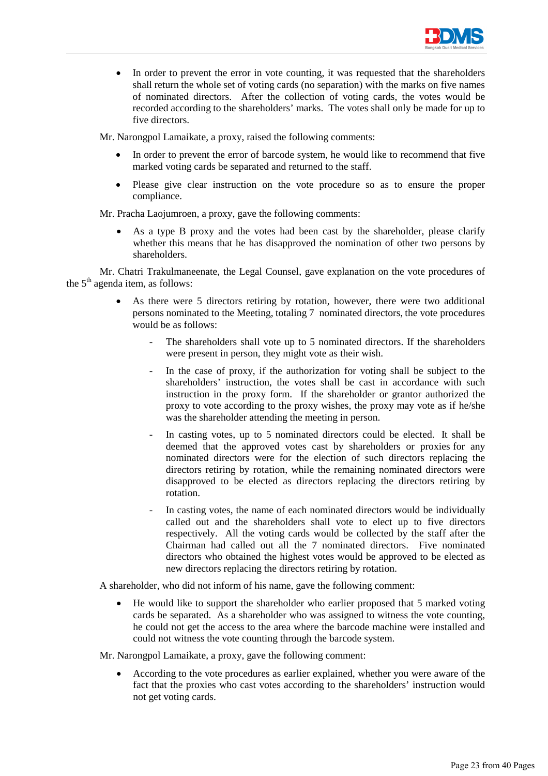

• In order to prevent the error in vote counting, it was requested that the shareholders shall return the whole set of voting cards (no separation) with the marks on five names of nominated directors. After the collection of voting cards, the votes would be recorded according to the shareholders' marks. The votes shall only be made for up to five directors.

Mr. Narongpol Lamaikate, a proxy, raised the following comments:

- In order to prevent the error of barcode system, he would like to recommend that five marked voting cards be separated and returned to the staff.
- Please give clear instruction on the vote procedure so as to ensure the proper compliance.

Mr. Pracha Laojumroen, a proxy, gave the following comments:

As a type B proxy and the votes had been cast by the shareholder, please clarify whether this means that he has disapproved the nomination of other two persons by shareholders.

 Mr. Chatri Trakulmaneenate, the Legal Counsel, gave explanation on the vote procedures of the  $5<sup>th</sup>$  agenda item, as follows:

- As there were 5 directors retiring by rotation, however, there were two additional persons nominated to the Meeting, totaling 7 nominated directors, the vote procedures would be as follows:
	- The shareholders shall vote up to 5 nominated directors. If the shareholders were present in person, they might vote as their wish.
	- In the case of proxy, if the authorization for voting shall be subject to the shareholders' instruction, the votes shall be cast in accordance with such instruction in the proxy form. If the shareholder or grantor authorized the proxy to vote according to the proxy wishes, the proxy may vote as if he/she was the shareholder attending the meeting in person.
	- In casting votes, up to 5 nominated directors could be elected. It shall be deemed that the approved votes cast by shareholders or proxies for any nominated directors were for the election of such directors replacing the directors retiring by rotation, while the remaining nominated directors were disapproved to be elected as directors replacing the directors retiring by rotation.
	- In casting votes, the name of each nominated directors would be individually called out and the shareholders shall vote to elect up to five directors respectively. All the voting cards would be collected by the staff after the Chairman had called out all the 7 nominated directors. Five nominated directors who obtained the highest votes would be approved to be elected as new directors replacing the directors retiring by rotation.

A shareholder, who did not inform of his name, gave the following comment:

• He would like to support the shareholder who earlier proposed that 5 marked voting cards be separated. As a shareholder who was assigned to witness the vote counting, he could not get the access to the area where the barcode machine were installed and could not witness the vote counting through the barcode system.

Mr. Narongpol Lamaikate, a proxy, gave the following comment:

• According to the vote procedures as earlier explained, whether you were aware of the fact that the proxies who cast votes according to the shareholders' instruction would not get voting cards.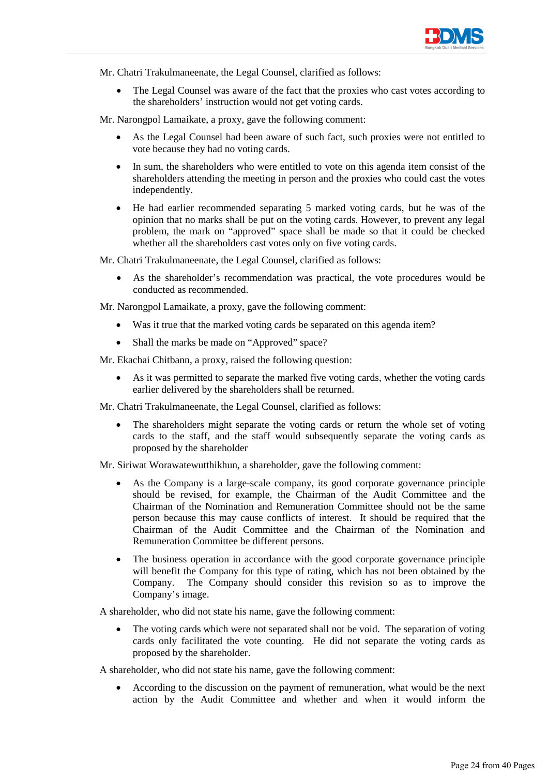

Mr. Chatri Trakulmaneenate, the Legal Counsel, clarified as follows:

• The Legal Counsel was aware of the fact that the proxies who cast votes according to the shareholders' instruction would not get voting cards.

Mr. Narongpol Lamaikate, a proxy, gave the following comment:

- As the Legal Counsel had been aware of such fact, such proxies were not entitled to vote because they had no voting cards.
- In sum, the shareholders who were entitled to vote on this agenda item consist of the shareholders attending the meeting in person and the proxies who could cast the votes independently.
- He had earlier recommended separating 5 marked voting cards, but he was of the opinion that no marks shall be put on the voting cards. However, to prevent any legal problem, the mark on "approved" space shall be made so that it could be checked whether all the shareholders cast votes only on five voting cards.

Mr. Chatri Trakulmaneenate, the Legal Counsel, clarified as follows:

• As the shareholder's recommendation was practical, the vote procedures would be conducted as recommended.

Mr. Narongpol Lamaikate, a proxy, gave the following comment:

- Was it true that the marked voting cards be separated on this agenda item?
- Shall the marks be made on "Approved" space?

Mr. Ekachai Chitbann, a proxy, raised the following question:

As it was permitted to separate the marked five voting cards, whether the voting cards earlier delivered by the shareholders shall be returned.

Mr. Chatri Trakulmaneenate, the Legal Counsel, clarified as follows:

The shareholders might separate the voting cards or return the whole set of voting cards to the staff, and the staff would subsequently separate the voting cards as proposed by the shareholder

Mr. Siriwat Worawatewutthikhun, a shareholder, gave the following comment:

- As the Company is a large-scale company, its good corporate governance principle should be revised, for example, the Chairman of the Audit Committee and the Chairman of the Nomination and Remuneration Committee should not be the same person because this may cause conflicts of interest. It should be required that the Chairman of the Audit Committee and the Chairman of the Nomination and Remuneration Committee be different persons.
- The business operation in accordance with the good corporate governance principle will benefit the Company for this type of rating, which has not been obtained by the Company. The Company should consider this revision so as to improve the Company's image.

A shareholder, who did not state his name, gave the following comment:

The voting cards which were not separated shall not be void. The separation of voting cards only facilitated the vote counting. He did not separate the voting cards as proposed by the shareholder.

A shareholder, who did not state his name, gave the following comment:

• According to the discussion on the payment of remuneration, what would be the next action by the Audit Committee and whether and when it would inform the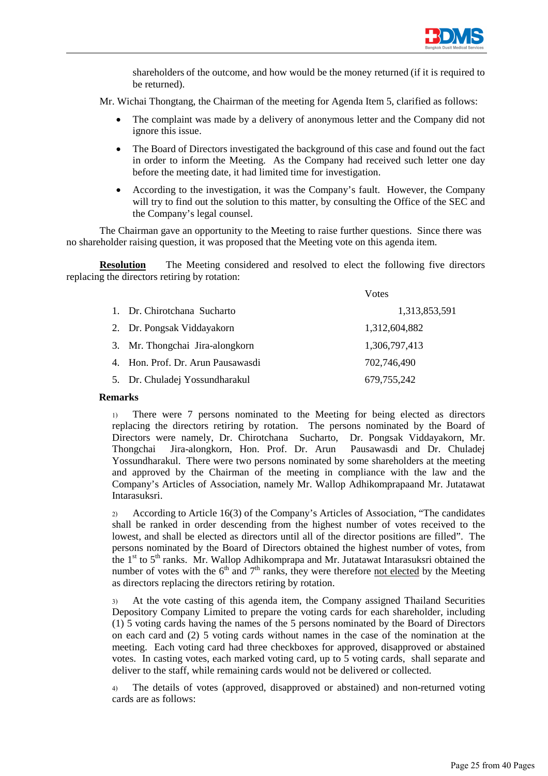

shareholders of the outcome, and how would be the money returned (if it is required to be returned).

Mr. Wichai Thongtang, the Chairman of the meeting for Agenda Item 5, clarified as follows:

- The complaint was made by a delivery of anonymous letter and the Company did not ignore this issue.
- The Board of Directors investigated the background of this case and found out the fact in order to inform the Meeting. As the Company had received such letter one day before the meeting date, it had limited time for investigation.
- According to the investigation, it was the Company's fault. However, the Company will try to find out the solution to this matter, by consulting the Office of the SEC and the Company's legal counsel.

The Chairman gave an opportunity to the Meeting to raise further questions. Since there was no shareholder raising question, it was proposed that the Meeting vote on this agenda item.

**Resolution** The Meeting considered and resolved to elect the following five directors replacing the directors retiring by rotation:

|                                   | Votes         |
|-----------------------------------|---------------|
| 1. Dr. Chirotchana Sucharto       | 1,313,853,591 |
| 2. Dr. Pongsak Viddayakorn        | 1,312,604,882 |
| 3. Mr. Thongchai Jira-alongkorn   | 1,306,797,413 |
| 4. Hon. Prof. Dr. Arun Pausawasdi | 702,746,490   |
| 5. Dr. Chuladej Yossundharakul    | 679, 755, 242 |

# **Remarks**

1) There were 7 persons nominated to the Meeting for being elected as directors replacing the directors retiring by rotation. The persons nominated by the Board of Directors were namely, Dr. Chirotchana Sucharto, Dr. Pongsak Viddayakorn, Mr. Thongchai Jira-alongkorn, Hon. Prof. Dr. Arun Yossundharakul. There were two persons nominated by some shareholders at the meeting and approved by the Chairman of the meeting in compliance with the law and the Company's Articles of Association, namely Mr. Wallop Adhikomprapaand Mr. Jutatawat Intarasuksri.

2) According to Article 16(3) of the Company's Articles of Association, "The candidates shall be ranked in order descending from the highest number of votes received to the lowest, and shall be elected as directors until all of the director positions are filled". The persons nominated by the Board of Directors obtained the highest number of votes, from the  $1<sup>st</sup>$  to  $5<sup>th</sup>$  ranks. Mr. Wallop Adhikomprapa and Mr. Jutatawat Intarasuksri obtained the number of votes with the  $6<sup>th</sup>$  and  $7<sup>th</sup>$  ranks, they were therefore not elected by the Meeting as directors replacing the directors retiring by rotation.

3) At the vote casting of this agenda item, the Company assigned Thailand Securities Depository Company Limited to prepare the voting cards for each shareholder, including (1) 5 voting cards having the names of the 5 persons nominated by the Board of Directors on each card and (2) 5 voting cards without names in the case of the nomination at the meeting. Each voting card had three checkboxes for approved, disapproved or abstained votes. In casting votes, each marked voting card, up to 5 voting cards, shall separate and deliver to the staff, while remaining cards would not be delivered or collected.

4) The details of votes (approved, disapproved or abstained) and non-returned voting cards are as follows: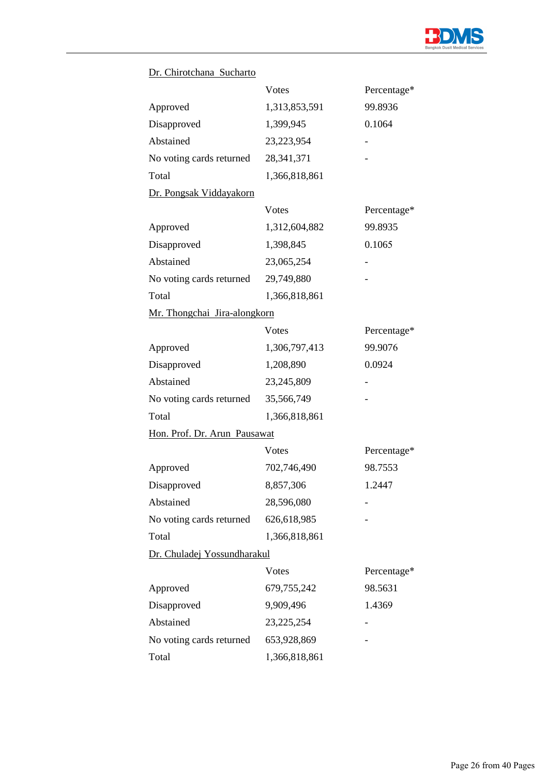

# Dr. Chirotchana Sucharto

|                              | Votes         | Percentage* |
|------------------------------|---------------|-------------|
| Approved                     | 1,313,853,591 | 99.8936     |
| Disapproved                  | 1,399,945     | 0.1064      |
| Abstained                    | 23,223,954    |             |
| No voting cards returned     | 28,341,371    |             |
| Total                        | 1,366,818,861 |             |
| Dr. Pongsak Viddayakorn      |               |             |
|                              | Votes         | Percentage* |
| Approved                     | 1,312,604,882 | 99.8935     |
| Disapproved                  | 1,398,845     | 0.1065      |
| Abstained                    | 23,065,254    |             |
| No voting cards returned     | 29,749,880    |             |
| Total                        | 1,366,818,861 |             |
| Mr. Thongchai Jira-alongkorn |               |             |
|                              | Votes         | Percentage* |
| Approved                     | 1,306,797,413 | 99.9076     |
| Disapproved                  | 1,208,890     | 0.0924      |
| Abstained                    | 23,245,809    |             |
| No voting cards returned     | 35,566,749    |             |
| Total                        | 1,366,818,861 |             |
| Hon. Prof. Dr. Arun Pausawat |               |             |
|                              | Votes         | Percentage* |
| Approved                     | 702,746,490   | 98.7553     |
| Disapproved                  | 8,857,306     | 1.2447      |
| Abstained                    | 28,596,080    |             |
| No voting cards returned     | 626,618,985   |             |
| Total                        | 1,366,818,861 |             |
| Dr. Chuladej Yossundharakul  |               |             |
|                              | Votes         | Percentage* |
| Approved                     | 679,755,242   | 98.5631     |
| Disapproved                  | 9,909,496     | 1.4369      |
| Abstained                    | 23, 225, 254  |             |
| No voting cards returned     | 653,928,869   |             |
| Total                        | 1,366,818,861 |             |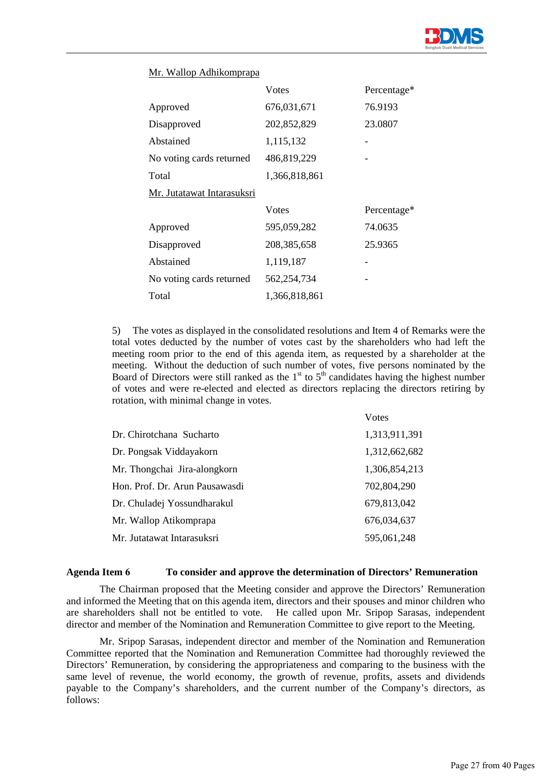

# Mr. Wallop Adhikomprapa

|                            | <b>V</b> otes | Percentage* |
|----------------------------|---------------|-------------|
| Approved                   | 676,031,671   | 76.9193     |
| Disapproved                | 202,852,829   | 23.0807     |
| Abstained                  | 1,115,132     |             |
| No voting cards returned   | 486,819,229   |             |
| Total                      | 1,366,818,861 |             |
| Mr. Jutatawat Intarasuksri |               |             |
|                            | Votes         | Percentage* |
| Approved                   | 595,059,282   | 74.0635     |
| Disapproved                | 208, 385, 658 | 25.9365     |
| Abstained                  | 1,119,187     |             |
| No voting cards returned   | 562,254,734   |             |
| Total                      | 1,366,818,861 |             |

5) The votes as displayed in the consolidated resolutions and Item 4 of Remarks were the total votes deducted by the number of votes cast by the shareholders who had left the meeting room prior to the end of this agenda item, as requested by a shareholder at the meeting. Without the deduction of such number of votes, five persons nominated by the Board of Directors were still ranked as the  $1<sup>st</sup>$  to  $5<sup>th</sup>$  candidates having the highest number of votes and were re-elected and elected as directors replacing the directors retiring by rotation, with minimal change in votes.

|                                | <b>V</b> otes |
|--------------------------------|---------------|
| Dr. Chirotchana Sucharto       | 1,313,911,391 |
| Dr. Pongsak Viddayakorn        | 1,312,662,682 |
| Mr. Thongchai Jira-alongkorn   | 1.306.854.213 |
| Hon. Prof. Dr. Arun Pausawasdi | 702,804,290   |
| Dr. Chuladej Yossundharakul    | 679,813,042   |
| Mr. Wallop Atikomprapa         | 676,034,637   |
| Mr. Jutatawat Intarasuksri     | 595,061,248   |

### **Agenda Item 6 To consider and approve the determination of Directors' Remuneration**

The Chairman proposed that the Meeting consider and approve the Directors' Remuneration and informed the Meeting that on this agenda item, directors and their spouses and minor children who are shareholders shall not be entitled to vote. He called upon Mr. Sripop Sarasas, independent director and member of the Nomination and Remuneration Committee to give report to the Meeting.

 Mr. Sripop Sarasas, independent director and member of the Nomination and Remuneration Committee reported that the Nomination and Remuneration Committee had thoroughly reviewed the Directors' Remuneration, by considering the appropriateness and comparing to the business with the same level of revenue, the world economy, the growth of revenue, profits, assets and dividends payable to the Company's shareholders, and the current number of the Company's directors, as follows: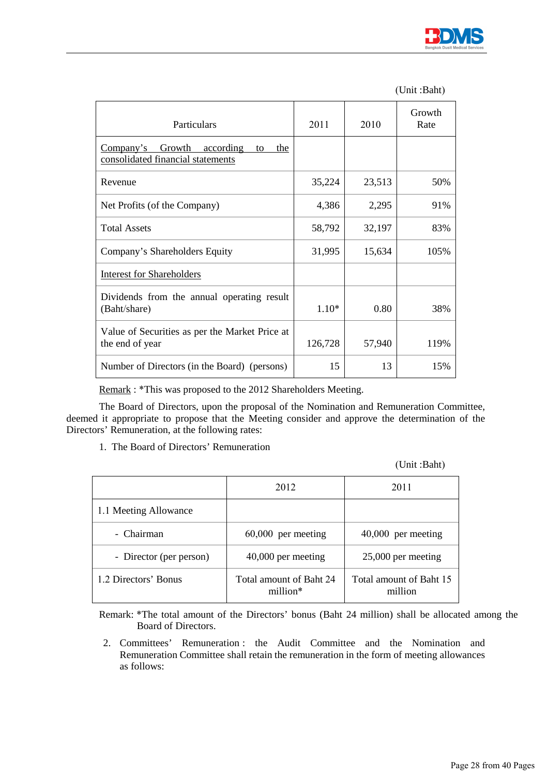

|  | (Unit:Baht) |
|--|-------------|
|--|-------------|

| Particulars                                                                        | 2011    | 2010   | Growth<br>Rate |
|------------------------------------------------------------------------------------|---------|--------|----------------|
| Growth<br>according<br>Company's<br>the<br>to<br>consolidated financial statements |         |        |                |
| Revenue                                                                            | 35,224  | 23,513 | 50%            |
| Net Profits (of the Company)                                                       | 4,386   | 2,295  | 91%            |
| <b>Total Assets</b>                                                                | 58,792  | 32,197 | 83%            |
| Company's Shareholders Equity                                                      | 31,995  | 15,634 | 105%           |
| <b>Interest for Shareholders</b>                                                   |         |        |                |
| Dividends from the annual operating result<br>(Baht/share)                         | $1.10*$ | 0.80   | 38%            |
| Value of Securities as per the Market Price at<br>the end of year                  | 126,728 | 57,940 | 119%           |
| Number of Directors (in the Board) (persons)                                       | 15      | 13     | 15%            |

Remark : \*This was proposed to the 2012 Shareholders Meeting.

 The Board of Directors, upon the proposal of the Nomination and Remuneration Committee, deemed it appropriate to propose that the Meeting consider and approve the determination of the Directors' Remuneration, at the following rates:

1. The Board of Directors' Remuneration

(Unit :Baht)

|                         | 2012                                | 2011                               |
|-------------------------|-------------------------------------|------------------------------------|
| 1.1 Meeting Allowance   |                                     |                                    |
| - Chairman              | $60,000$ per meeting                | $40,000$ per meeting               |
| - Director (per person) | 40,000 per meeting                  | $25,000$ per meeting               |
| 1.2 Directors' Bonus    | Total amount of Baht 24<br>million* | Total amount of Baht 15<br>million |

Remark: \*The total amount of the Directors' bonus (Baht 24 million) shall be allocated among the Board of Directors.

2. Committees' Remuneration : the Audit Committee and the Nomination and Remuneration Committee shall retain the remuneration in the form of meeting allowances as follows: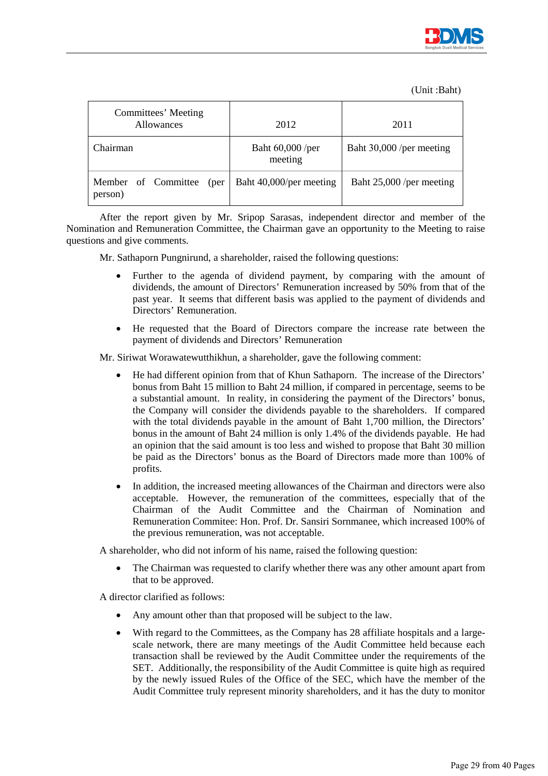

(Unit :Baht)

| Committees' Meeting<br><b>Allowances</b> | 2012                        | 2011                     |
|------------------------------------------|-----------------------------|--------------------------|
| Chairman                                 | Baht 60,000 /per<br>meeting | Baht 30,000 /per meeting |
| Member of Committee<br>(per<br>person)   | Baht 40,000/per meeting     | Baht 25,000 /per meeting |

After the report given by Mr. Sripop Sarasas, independent director and member of the Nomination and Remuneration Committee, the Chairman gave an opportunity to the Meeting to raise questions and give comments.

Mr. Sathaporn Pungnirund, a shareholder, raised the following questions:

- Further to the agenda of dividend payment, by comparing with the amount of dividends, the amount of Directors' Remuneration increased by 50% from that of the past year. It seems that different basis was applied to the payment of dividends and Directors' Remuneration.
- He requested that the Board of Directors compare the increase rate between the payment of dividends and Directors' Remuneration

Mr. Siriwat Worawatewutthikhun, a shareholder, gave the following comment:

- He had different opinion from that of Khun Sathaporn. The increase of the Directors' bonus from Baht 15 million to Baht 24 million, if compared in percentage, seems to be a substantial amount. In reality, in considering the payment of the Directors' bonus, the Company will consider the dividends payable to the shareholders. If compared with the total dividends payable in the amount of Baht 1,700 million, the Directors' bonus in the amount of Baht 24 million is only 1.4% of the dividends payable. He had an opinion that the said amount is too less and wished to propose that Baht 30 million be paid as the Directors' bonus as the Board of Directors made more than 100% of profits.
- In addition, the increased meeting allowances of the Chairman and directors were also acceptable. However, the remuneration of the committees, especially that of the Chairman of the Audit Committee and the Chairman of Nomination and Remuneration Commitee: Hon. Prof. Dr. Sansiri Sornmanee, which increased 100% of the previous remuneration, was not acceptable.

A shareholder, who did not inform of his name, raised the following question:

• The Chairman was requested to clarify whether there was any other amount apart from that to be approved.

A director clarified as follows:

- Any amount other than that proposed will be subject to the law.
- With regard to the Committees, as the Company has 28 affiliate hospitals and a largescale network, there are many meetings of the Audit Committee held because each transaction shall be reviewed by the Audit Committee under the requirements of the SET. Additionally, the responsibility of the Audit Committee is quite high as required by the newly issued Rules of the Office of the SEC, which have the member of the Audit Committee truly represent minority shareholders, and it has the duty to monitor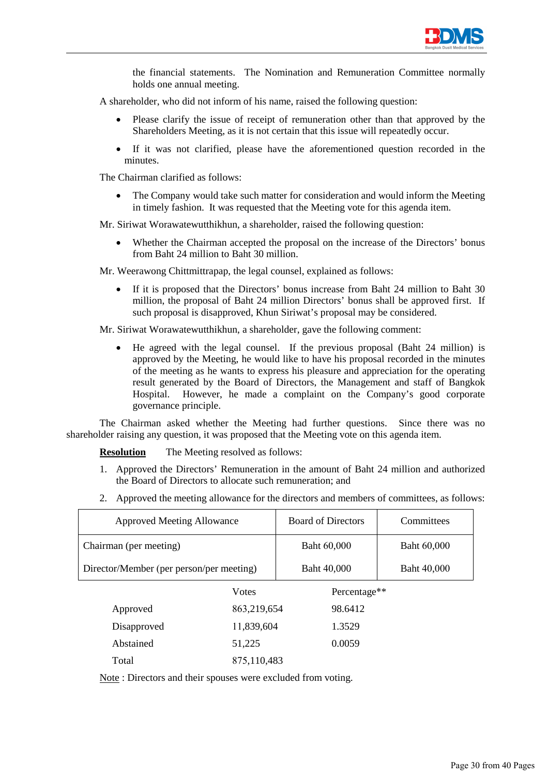

the financial statements. The Nomination and Remuneration Committee normally holds one annual meeting.

A shareholder, who did not inform of his name, raised the following question:

- Please clarify the issue of receipt of remuneration other than that approved by the Shareholders Meeting, as it is not certain that this issue will repeatedly occur.
- If it was not clarified, please have the aforementioned question recorded in the minutes.

The Chairman clarified as follows:

The Company would take such matter for consideration and would inform the Meeting in timely fashion. It was requested that the Meeting vote for this agenda item.

Mr. Siriwat Worawatewutthikhun, a shareholder, raised the following question:

Whether the Chairman accepted the proposal on the increase of the Directors' bonus from Baht 24 million to Baht 30 million.

Mr. Weerawong Chittmittrapap, the legal counsel, explained as follows:

If it is proposed that the Directors' bonus increase from Baht 24 million to Baht 30 million, the proposal of Baht 24 million Directors' bonus shall be approved first. If such proposal is disapproved, Khun Siriwat's proposal may be considered.

Mr. Siriwat Worawatewutthikhun, a shareholder, gave the following comment:

• He agreed with the legal counsel. If the previous proposal (Baht 24 million) is approved by the Meeting, he would like to have his proposal recorded in the minutes of the meeting as he wants to express his pleasure and appreciation for the operating result generated by the Board of Directors, the Management and staff of Bangkok Hospital. However, he made a complaint on the Company's good corporate governance principle.

The Chairman asked whether the Meeting had further questions. Since there was no shareholder raising any question, it was proposed that the Meeting vote on this agenda item.

**Resolution** The Meeting resolved as follows:

- 1. Approved the Directors' Remuneration in the amount of Baht 24 million and authorized the Board of Directors to allocate such remuneration; and
- 2. Approved the meeting allowance for the directors and members of committees, as follows:

| <b>Approved Meeting Allowance</b>        |               | <b>Board of Directors</b> | Committees  |
|------------------------------------------|---------------|---------------------------|-------------|
| Chairman (per meeting)                   |               | Baht 60,000               | Baht 60,000 |
| Director/Member (per person/per meeting) |               | Baht 40,000               | Baht 40,000 |
|                                          | <b>V</b> otes | Percentage**              |             |
| Approved                                 | 863,219,654   | 98.6412                   |             |
| Disapproved                              | 11,839,604    | 1.3529                    |             |
| Abstained                                | 51,225        | 0.0059                    |             |
| Total                                    | 875,110,483   |                           |             |

Note : Directors and their spouses were excluded from voting.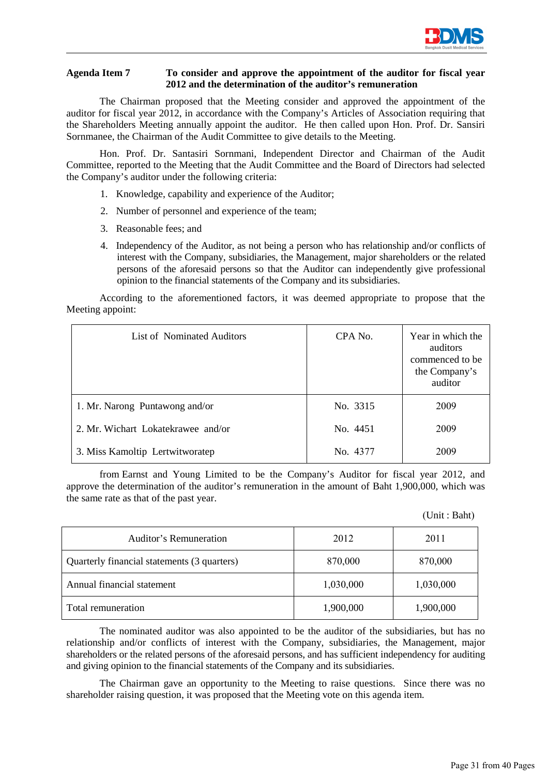

# **Agenda Item 7 To consider and approve the appointment of the auditor for fiscal year 2012 and the determination of the auditor's remuneration**

The Chairman proposed that the Meeting consider and approved the appointment of the auditor for fiscal year 2012, in accordance with the Company's Articles of Association requiring that the Shareholders Meeting annually appoint the auditor. He then called upon Hon. Prof. Dr. Sansiri Sornmanee, the Chairman of the Audit Committee to give details to the Meeting.

 Hon. Prof. Dr. Santasiri Sornmani, Independent Director and Chairman of the Audit Committee, reported to the Meeting that the Audit Committee and the Board of Directors had selected the Company's auditor under the following criteria:

- 1. Knowledge, capability and experience of the Auditor;
- 2. Number of personnel and experience of the team;
- 3. Reasonable fees; and
- 4. Independency of the Auditor, as not being a person who has relationship and/or conflicts of interest with the Company, subsidiaries, the Management, major shareholders or the related persons of the aforesaid persons so that the Auditor can independently give professional opinion to the financial statements of the Company and its subsidiaries.

 According to the aforementioned factors, it was deemed appropriate to propose that the Meeting appoint:

| List of Nominated Auditors         | CPA No.  | Year in which the<br>auditors<br>commenced to be<br>the Company's<br>auditor |
|------------------------------------|----------|------------------------------------------------------------------------------|
| 1. Mr. Narong Puntawong and/or     | No. 3315 | 2009                                                                         |
| 2. Mr. Wichart Lokatekrawee and/or | No. 4451 | 2009                                                                         |
| 3. Miss Kamoltip Lertwitworatep    | No. 4377 | 2009                                                                         |

from Earnst and Young Limited to be the Company's Auditor for fiscal year 2012, and approve the determination of the auditor's remuneration in the amount of Baht 1,900,000, which was the same rate as that of the past year.

(Unit : Baht)

| Auditor's Remuneration                      | 2012      | 2011      |
|---------------------------------------------|-----------|-----------|
| Quarterly financial statements (3 quarters) | 870,000   | 870,000   |
| Annual financial statement                  | 1,030,000 | 1,030,000 |
| Total remuneration                          | 1,900,000 | 1,900,000 |

 The nominated auditor was also appointed to be the auditor of the subsidiaries, but has no relationship and/or conflicts of interest with the Company, subsidiaries, the Management, major shareholders or the related persons of the aforesaid persons, and has sufficient independency for auditing and giving opinion to the financial statements of the Company and its subsidiaries.

 The Chairman gave an opportunity to the Meeting to raise questions. Since there was no shareholder raising question, it was proposed that the Meeting vote on this agenda item.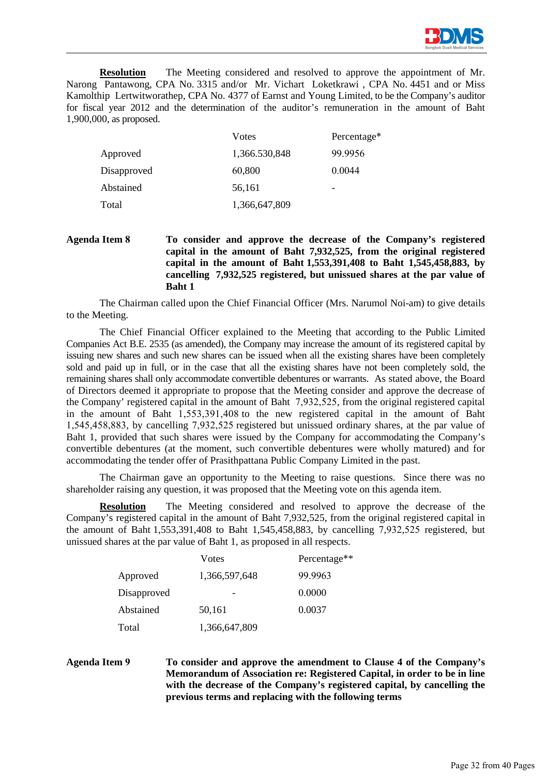

**Resolution** The Meeting considered and resolved to approve the appointment of Mr. Narong Pantawong, CPA No. 3315 and/or Mr. Vichart Loketkrawi , CPA No. 4451 and or Miss Kamolthip Lertwitworathep, CPA No. 4377 of Earnst and Young Limited, to be the Company's auditor for fiscal year 2012 and the determination of the auditor's remuneration in the amount of Baht 1,900,000, as proposed.

|             | Votes         | Percentage* |
|-------------|---------------|-------------|
| Approved    | 1,366.530,848 | 99.9956     |
| Disapproved | 60,800        | 0.0044      |
| Abstained   | 56,161        | -           |
| Total       | 1,366,647,809 |             |

# **Agenda Item 8 To consider and approve the decrease of the Company's registered capital in the amount of Baht 7,932,525, from the original registered capital in the amount of Baht 1,553,391,408 to Baht 1,545,458,883, by cancelling 7,932,525 registered, but unissued shares at the par value of Baht 1**

The Chairman called upon the Chief Financial Officer (Mrs. Narumol Noi-am) to give details to the Meeting.

The Chief Financial Officer explained to the Meeting that according to the Public Limited Companies Act B.E. 2535 (as amended), the Company may increase the amount of its registered capital by issuing new shares and such new shares can be issued when all the existing shares have been completely sold and paid up in full, or in the case that all the existing shares have not been completely sold, the remaining shares shall only accommodate convertible debentures or warrants. As stated above, the Board of Directors deemed it appropriate to propose that the Meeting consider and approve the decrease of the Company' registered capital in the amount of Baht 7,932,525, from the original registered capital in the amount of Baht 1,553,391,408 to the new registered capital in the amount of Baht 1,545,458,883, by cancelling 7,932,525 registered but unissued ordinary shares, at the par value of Baht 1, provided that such shares were issued by the Company for accommodating the Company's convertible debentures (at the moment, such convertible debentures were wholly matured) and for accommodating the tender offer of Prasithpattana Public Company Limited in the past.

The Chairman gave an opportunity to the Meeting to raise questions. Since there was no shareholder raising any question, it was proposed that the Meeting vote on this agenda item.

**Resolution** The Meeting considered and resolved to approve the decrease of the Company's registered capital in the amount of Baht 7,932,525, from the original registered capital in the amount of Baht  $1,553,391,408$  to Baht 1,545,458,883, by cancelling  $7,932,525$  registered, but unissued shares at the par value of Baht 1, as proposed in all respects.

|             | Votes         | Percentage** |
|-------------|---------------|--------------|
| Approved    | 1,366,597,648 | 99.9963      |
| Disapproved |               | 0.0000       |
| Abstained   | 50,161        | 0.0037       |
| Total       | 1,366,647,809 |              |

# **Agenda Item 9 To consider and approve the amendment to Clause 4 of the Company's Memorandum of Association re: Registered Capital, in order to be in line with the decrease of the Company's registered capital, by cancelling the previous terms and replacing with the following terms**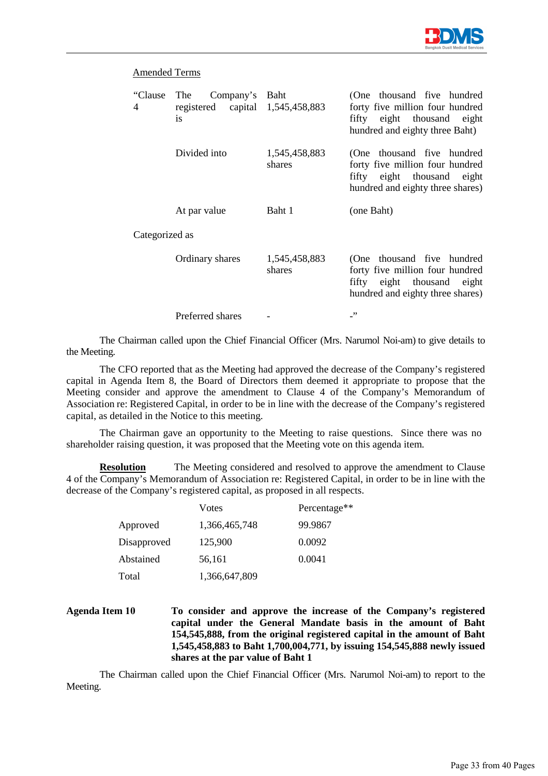

| "Clause<br>4   | Company's Baht<br>The<br>registered capital 1,545,458,883<br><sup>is</sup> |                         | (One thousand five hundred<br>forty five million four hundred<br>fifty eight thousand eight<br>hundred and eighty three Baht)      |
|----------------|----------------------------------------------------------------------------|-------------------------|------------------------------------------------------------------------------------------------------------------------------------|
|                | Divided into                                                               | 1,545,458,883<br>shares | (One thousand five hundred<br>forty five million four hundred<br>fifty eight thousand eight<br>hundred and eighty three shares)    |
|                | At par value                                                               | Baht 1                  | (one Baht)                                                                                                                         |
| Categorized as |                                                                            |                         |                                                                                                                                    |
|                | Ordinary shares                                                            | 1,545,458,883<br>shares | (One thousand five hundred<br>forty five million four hundred<br>fifty eight thousand<br>eight<br>hundred and eighty three shares) |
|                | Preferred shares                                                           |                         | , ,                                                                                                                                |

The Chairman called upon the Chief Financial Officer (Mrs. Narumol Noi-am) to give details to the Meeting.

The CFO reported that as the Meeting had approved the decrease of the Company's registered capital in Agenda Item 8, the Board of Directors them deemed it appropriate to propose that the Meeting consider and approve the amendment to Clause 4 of the Company's Memorandum of Association re: Registered Capital, in order to be in line with the decrease of the Company's registered capital, as detailed in the Notice to this meeting.

The Chairman gave an opportunity to the Meeting to raise questions. Since there was no shareholder raising question, it was proposed that the Meeting vote on this agenda item.

**Resolution** The Meeting considered and resolved to approve the amendment to Clause 4 of the Company's Memorandum of Association re: Registered Capital, in order to be in line with the decrease of the Company's registered capital, as proposed in all respects.

|             | Votes         | Percentage** |
|-------------|---------------|--------------|
| Approved    | 1,366,465,748 | 99.9867      |
| Disapproved | 125,900       | 0.0092       |
| Abstained   | 56,161        | 0.0041       |
| Total       | 1,366,647,809 |              |

**Agenda Item 10 To consider and approve the increase of the Company's registered capital under the General Mandate basis in the amount of Baht 154,545,888, from the original registered capital in the amount of Baht 1,545,458,883 to Baht 1,700,004,771, by issuing 154,545,888 newly issued shares at the par value of Baht 1** 

The Chairman called upon the Chief Financial Officer (Mrs. Narumol Noi-am) to report to the Meeting.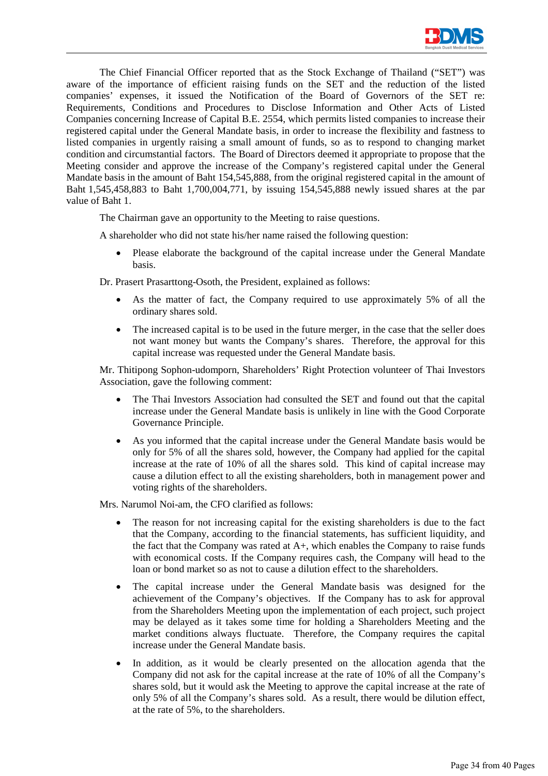

The Chief Financial Officer reported that as the Stock Exchange of Thailand ("SET") was aware of the importance of efficient raising funds on the SET and the reduction of the listed companies' expenses, it issued the Notification of the Board of Governors of the SET re: Requirements, Conditions and Procedures to Disclose Information and Other Acts of Listed Companies concerning Increase of Capital B.E. 2554, which permits listed companies to increase their registered capital under the General Mandate basis, in order to increase the flexibility and fastness to listed companies in urgently raising a small amount of funds, so as to respond to changing market condition and circumstantial factors. The Board of Directors deemed it appropriate to propose that the Meeting consider and approve the increase of the Company's registered capital under the General Mandate basis in the amount of Baht 154,545,888, from the original registered capital in the amount of Baht 1,545,458,883 to Baht 1,700,004,771, by issuing 154,545,888 newly issued shares at the par value of Baht 1.

The Chairman gave an opportunity to the Meeting to raise questions.

A shareholder who did not state his/her name raised the following question:

• Please elaborate the background of the capital increase under the General Mandate basis.

Dr. Prasert Prasarttong-Osoth, the President, explained as follows:

- As the matter of fact, the Company required to use approximately 5% of all the ordinary shares sold.
- The increased capital is to be used in the future merger, in the case that the seller does not want money but wants the Company's shares. Therefore, the approval for this capital increase was requested under the General Mandate basis.

Mr. Thitipong Sophon-udomporn, Shareholders' Right Protection volunteer of Thai Investors Association, gave the following comment:

- The Thai Investors Association had consulted the SET and found out that the capital increase under the General Mandate basis is unlikely in line with the Good Corporate Governance Principle.
- As you informed that the capital increase under the General Mandate basis would be only for 5% of all the shares sold, however, the Company had applied for the capital increase at the rate of 10% of all the shares sold. This kind of capital increase may cause a dilution effect to all the existing shareholders, both in management power and voting rights of the shareholders.

Mrs. Narumol Noi-am, the CFO clarified as follows:

- The reason for not increasing capital for the existing shareholders is due to the fact that the Company, according to the financial statements, has sufficient liquidity, and the fact that the Company was rated at  $A<sub>+</sub>$ , which enables the Company to raise funds with economical costs. If the Company requires cash, the Company will head to the loan or bond market so as not to cause a dilution effect to the shareholders.
- The capital increase under the General Mandate basis was designed for the achievement of the Company's objectives. If the Company has to ask for approval from the Shareholders Meeting upon the implementation of each project, such project may be delayed as it takes some time for holding a Shareholders Meeting and the market conditions always fluctuate. Therefore, the Company requires the capital increase under the General Mandate basis.
- In addition, as it would be clearly presented on the allocation agenda that the Company did not ask for the capital increase at the rate of 10% of all the Company's shares sold, but it would ask the Meeting to approve the capital increase at the rate of only 5% of all the Company's shares sold. As a result, there would be dilution effect, at the rate of 5%, to the shareholders.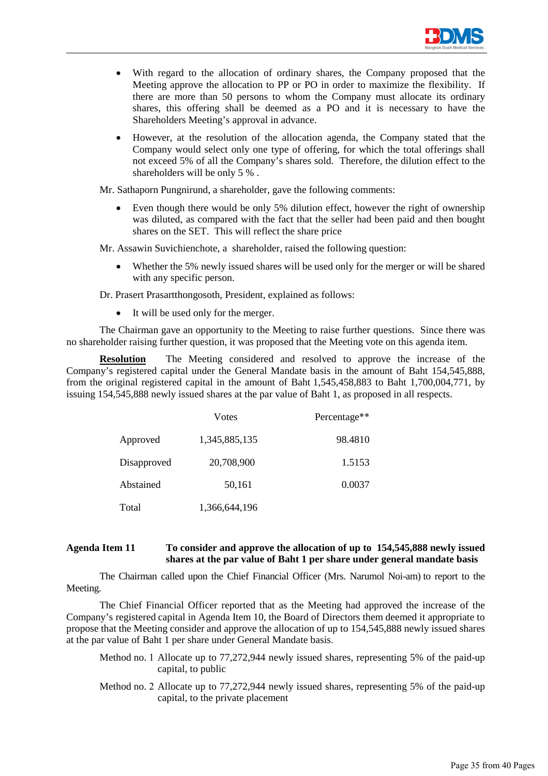

- With regard to the allocation of ordinary shares, the Company proposed that the Meeting approve the allocation to PP or PO in order to maximize the flexibility. If there are more than 50 persons to whom the Company must allocate its ordinary shares, this offering shall be deemed as a PO and it is necessary to have the Shareholders Meeting's approval in advance.
- However, at the resolution of the allocation agenda, the Company stated that the Company would select only one type of offering, for which the total offerings shall not exceed 5% of all the Company's shares sold. Therefore, the dilution effect to the shareholders will be only 5 % .

Mr. Sathaporn Pungnirund, a shareholder, gave the following comments:

Even though there would be only 5% dilution effect, however the right of ownership was diluted, as compared with the fact that the seller had been paid and then bought shares on the SET. This will reflect the share price

Mr. Assawin Suvichienchote, a shareholder, raised the following question:

Whether the 5% newly issued shares will be used only for the merger or will be shared with any specific person.

Dr. Prasert Prasartthongosoth, President, explained as follows:

• It will be used only for the merger.

The Chairman gave an opportunity to the Meeting to raise further questions. Since there was no shareholder raising further question, it was proposed that the Meeting vote on this agenda item.

**Resolution** The Meeting considered and resolved to approve the increase of the Company's registered capital under the General Mandate basis in the amount of Baht 154,545,888, from the original registered capital in the amount of Baht 1,545,458,883 to Baht 1,700,004,771, by issuing 154,545,888 newly issued shares at the par value of Baht 1, as proposed in all respects.

|             | Votes         | Percentage** |
|-------------|---------------|--------------|
| Approved    | 1,345,885,135 | 98.4810      |
| Disapproved | 20,708,900    | 1.5153       |
| Abstained   | 50,161        | 0.0037       |
| Total       | 1,366,644,196 |              |

### **Agenda Item 11 To consider and approve the allocation of up to 154,545,888 newly issued shares at the par value of Baht 1 per share under general mandate basis**

The Chairman called upon the Chief Financial Officer (Mrs. Narumol Noi-am) to report to the Meeting.

The Chief Financial Officer reported that as the Meeting had approved the increase of the Company's registered capital in Agenda Item 10, the Board of Directors them deemed it appropriate to propose that the Meeting consider and approve the allocation of up to 154,545,888 newly issued shares at the par value of Baht 1 per share under General Mandate basis.

- Method no. 1 Allocate up to 77,272,944 newly issued shares, representing 5% of the paid-up capital, to public
- Method no. 2 Allocate up to 77,272,944 newly issued shares, representing 5% of the paid-up capital, to the private placement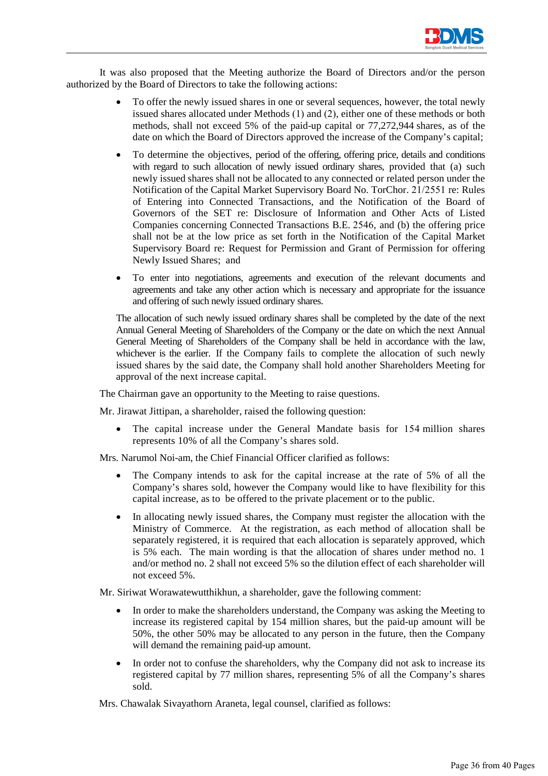

It was also proposed that the Meeting authorize the Board of Directors and/or the person authorized by the Board of Directors to take the following actions:

- To offer the newly issued shares in one or several sequences, however, the total newly issued shares allocated under Methods (1) and (2), either one of these methods or both methods, shall not exceed 5% of the paid-up capital or 77,272,944 shares, as of the date on which the Board of Directors approved the increase of the Company's capital;
- To determine the objectives, period of the offering, offering price, details and conditions with regard to such allocation of newly issued ordinary shares, provided that (a) such newly issued shares shall not be allocated to any connected or related person under the Notification of the Capital Market Supervisory Board No. TorChor. 21/2551 re: Rules of Entering into Connected Transactions, and the Notification of the Board of Governors of the SET re: Disclosure of Information and Other Acts of Listed Companies concerning Connected Transactions B.E. 2546, and (b) the offering price shall not be at the low price as set forth in the Notification of the Capital Market Supervisory Board re: Request for Permission and Grant of Permission for offering Newly Issued Shares; and
- To enter into negotiations, agreements and execution of the relevant documents and agreements and take any other action which is necessary and appropriate for the issuance and offering of such newly issued ordinary shares.

The allocation of such newly issued ordinary shares shall be completed by the date of the next Annual General Meeting of Shareholders of the Company or the date on which the next Annual General Meeting of Shareholders of the Company shall be held in accordance with the law, whichever is the earlier. If the Company fails to complete the allocation of such newly issued shares by the said date, the Company shall hold another Shareholders Meeting for approval of the next increase capital.

The Chairman gave an opportunity to the Meeting to raise questions.

Mr. Jirawat Jittipan, a shareholder, raised the following question:

The capital increase under the General Mandate basis for 154 million shares represents 10% of all the Company's shares sold.

Mrs. Narumol Noi-am, the Chief Financial Officer clarified as follows:

- The Company intends to ask for the capital increase at the rate of 5% of all the Company's shares sold, however the Company would like to have flexibility for this capital increase, as to be offered to the private placement or to the public.
- In allocating newly issued shares, the Company must register the allocation with the Ministry of Commerce. At the registration, as each method of allocation shall be separately registered, it is required that each allocation is separately approved, which is 5% each. The main wording is that the allocation of shares under method no. 1 and/or method no. 2 shall not exceed 5% so the dilution effect of each shareholder will not exceed 5%.

Mr. Siriwat Worawatewutthikhun, a shareholder, gave the following comment:

- In order to make the shareholders understand, the Company was asking the Meeting to increase its registered capital by 154 million shares, but the paid-up amount will be 50%, the other 50% may be allocated to any person in the future, then the Company will demand the remaining paid-up amount.
- In order not to confuse the shareholders, why the Company did not ask to increase its registered capital by 77 million shares, representing 5% of all the Company's shares sold.

Mrs. Chawalak Sivayathorn Araneta, legal counsel, clarified as follows: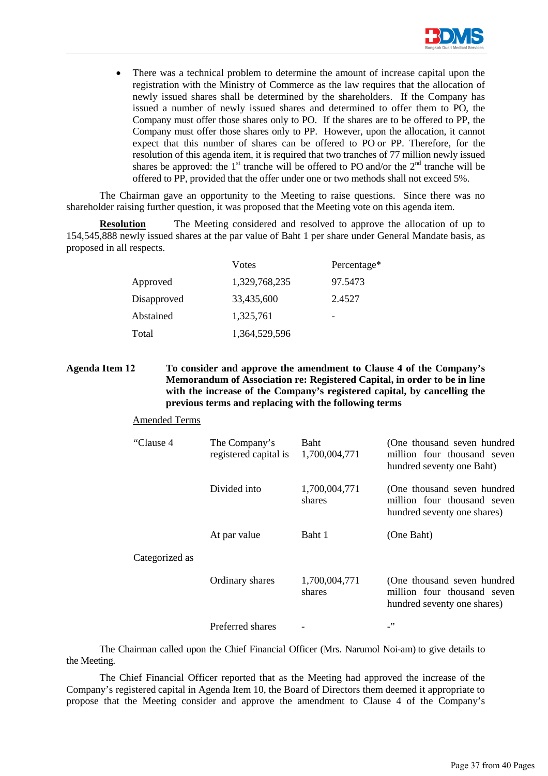

• There was a technical problem to determine the amount of increase capital upon the registration with the Ministry of Commerce as the law requires that the allocation of newly issued shares shall be determined by the shareholders. If the Company has issued a number of newly issued shares and determined to offer them to PO, the Company must offer those shares only to PO. If the shares are to be offered to PP, the Company must offer those shares only to PP. However, upon the allocation, it cannot expect that this number of shares can be offered to PO or PP. Therefore, for the resolution of this agenda item, it is required that two tranches of 77 million newly issued shares be approved: the  $1<sup>st</sup>$  tranche will be offered to PO and/or the  $2<sup>nd</sup>$  tranche will be offered to PP, provided that the offer under one or two methods shall not exceed 5%.

The Chairman gave an opportunity to the Meeting to raise questions. Since there was no shareholder raising further question, it was proposed that the Meeting vote on this agenda item.

**Resolution** The Meeting considered and resolved to approve the allocation of up to 154,545,888 newly issued shares at the par value of Baht 1 per share under General Mandate basis, as proposed in all respects.

|             | Votes         | Percentage* |
|-------------|---------------|-------------|
| Approved    | 1,329,768,235 | 97.5473     |
| Disapproved | 33,435,600    | 2.4527      |
| Abstained   | 1,325,761     |             |
| Total       | 1,364,529,596 |             |

# **Agenda Item 12 To consider and approve the amendment to Clause 4 of the Company's Memorandum of Association re: Registered Capital, in order to be in line with the increase of the Company's registered capital, by cancelling the previous terms and replacing with the following terms**

Amended Terms

| "Clause 4      | The Company's<br>registered capital is | <b>Baht</b><br>1,700,004,771 | (One thousand seven hundred<br>million four thousand seven<br>hundred seventy one Baht)    |
|----------------|----------------------------------------|------------------------------|--------------------------------------------------------------------------------------------|
|                | Divided into                           | 1,700,004,771<br>shares      | (One thousand seven hundred)<br>million four thousand seven<br>hundred seventy one shares) |
| Categorized as | At par value                           | Baht 1                       | (One Baht)                                                                                 |
|                | Ordinary shares                        | 1,700,004,771<br>shares      | (One thousand seven hundred<br>million four thousand seven<br>hundred seventy one shares)  |
|                | Preferred shares                       |                              | $\cdot$                                                                                    |

The Chairman called upon the Chief Financial Officer (Mrs. Narumol Noi-am) to give details to the Meeting.

The Chief Financial Officer reported that as the Meeting had approved the increase of the Company's registered capital in Agenda Item 10, the Board of Directors them deemed it appropriate to propose that the Meeting consider and approve the amendment to Clause 4 of the Company's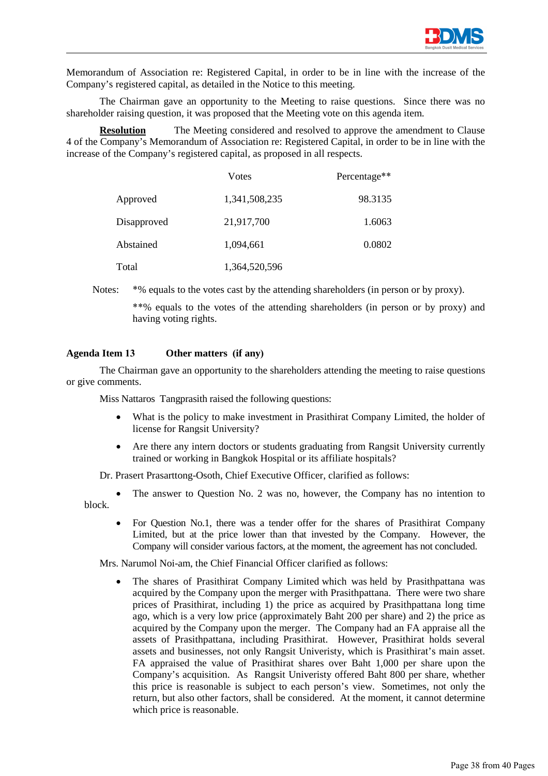

Memorandum of Association re: Registered Capital, in order to be in line with the increase of the Company's registered capital, as detailed in the Notice to this meeting.

The Chairman gave an opportunity to the Meeting to raise questions. Since there was no shareholder raising question, it was proposed that the Meeting vote on this agenda item.

**Resolution** The Meeting considered and resolved to approve the amendment to Clause 4 of the Company's Memorandum of Association re: Registered Capital, in order to be in line with the increase of the Company's registered capital, as proposed in all respects.

|             | Votes         | Percentage** |
|-------------|---------------|--------------|
| Approved    | 1,341,508,235 | 98.3135      |
| Disapproved | 21,917,700    | 1.6063       |
| Abstained   | 1,094,661     | 0.0802       |
| Total       | 1,364,520,596 |              |

Notes:  $*$ % equals to the votes cast by the attending shareholders (in person or by proxy).

\*\*% equals to the votes of the attending shareholders (in person or by proxy) and having voting rights.

# **Agenda Item 13 Other matters (if any)**

The Chairman gave an opportunity to the shareholders attending the meeting to raise questions or give comments.

Miss Nattaros Tangprasith raised the following questions:

- What is the policy to make investment in Prasithirat Company Limited, the holder of license for Rangsit University?
- Are there any intern doctors or students graduating from Rangsit University currently trained or working in Bangkok Hospital or its affiliate hospitals?

Dr. Prasert Prasarttong-Osoth, Chief Executive Officer, clarified as follows:

- The answer to Question No. 2 was no, however, the Company has no intention to block.
	- For Question No.1, there was a tender offer for the shares of Prasithirat Company Limited, but at the price lower than that invested by the Company. However, the Company will consider various factors, at the moment, the agreement has not concluded.

Mrs. Narumol Noi-am, the Chief Financial Officer clarified as follows:

• The shares of Prasithirat Company Limited which was held by Prasithpattana was acquired by the Company upon the merger with Prasithpattana. There were two share prices of Prasithirat, including 1) the price as acquired by Prasithpattana long time ago, which is a very low price (approximately Baht 200 per share) and 2) the price as acquired by the Company upon the merger. The Company had an FA appraise all the assets of Prasithpattana, including Prasithirat. However, Prasithirat holds several assets and businesses, not only Rangsit Univeristy, which is Prasithirat's main asset. FA appraised the value of Prasithirat shares over Baht 1,000 per share upon the Company's acquisition. As Rangsit Univeristy offered Baht 800 per share, whether this price is reasonable is subject to each person's view. Sometimes, not only the return, but also other factors, shall be considered. At the moment, it cannot determine which price is reasonable.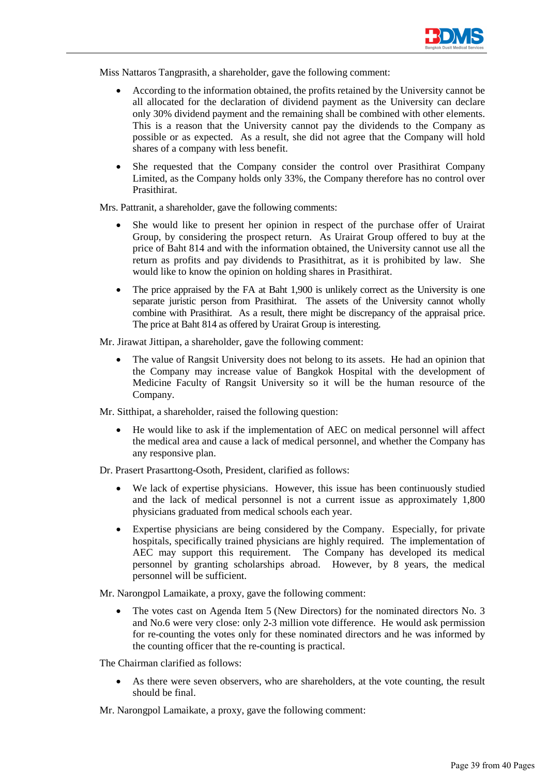

Miss Nattaros Tangprasith, a shareholder, gave the following comment:

- According to the information obtained, the profits retained by the University cannot be all allocated for the declaration of dividend payment as the University can declare only 30% dividend payment and the remaining shall be combined with other elements. This is a reason that the University cannot pay the dividends to the Company as possible or as expected. As a result, she did not agree that the Company will hold shares of a company with less benefit.
- She requested that the Company consider the control over Prasithirat Company Limited, as the Company holds only 33%, the Company therefore has no control over **Prasithirat**

Mrs. Pattranit, a shareholder, gave the following comments:

- She would like to present her opinion in respect of the purchase offer of Urairat Group, by considering the prospect return. As Urairat Group offered to buy at the price of Baht 814 and with the information obtained, the University cannot use all the return as profits and pay dividends to Prasithitrat, as it is prohibited by law. She would like to know the opinion on holding shares in Prasithirat.
- The price appraised by the FA at Baht 1,900 is unlikely correct as the University is one separate juristic person from Prasithirat. The assets of the University cannot wholly combine with Prasithirat. As a result, there might be discrepancy of the appraisal price. The price at Baht 814 as offered by Urairat Group is interesting.

Mr. Jirawat Jittipan, a shareholder, gave the following comment:

The value of Rangsit University does not belong to its assets. He had an opinion that the Company may increase value of Bangkok Hospital with the development of Medicine Faculty of Rangsit University so it will be the human resource of the Company.

Mr. Sitthipat, a shareholder, raised the following question:

• He would like to ask if the implementation of AEC on medical personnel will affect the medical area and cause a lack of medical personnel, and whether the Company has any responsive plan.

Dr. Prasert Prasarttong-Osoth, President, clarified as follows:

- We lack of expertise physicians. However, this issue has been continuously studied and the lack of medical personnel is not a current issue as approximately 1,800 physicians graduated from medical schools each year.
- Expertise physicians are being considered by the Company. Especially, for private hospitals, specifically trained physicians are highly required. The implementation of AEC may support this requirement. The Company has developed its medical personnel by granting scholarships abroad. However, by 8 years, the medical personnel will be sufficient.

Mr. Narongpol Lamaikate, a proxy, gave the following comment:

• The votes cast on Agenda Item 5 (New Directors) for the nominated directors No. 3 and No.6 were very close: only 2-3 million vote difference. He would ask permission for re-counting the votes only for these nominated directors and he was informed by the counting officer that the re-counting is practical.

The Chairman clarified as follows:

- As there were seven observers, who are shareholders, at the vote counting, the result should be final.
- Mr. Narongpol Lamaikate, a proxy, gave the following comment: